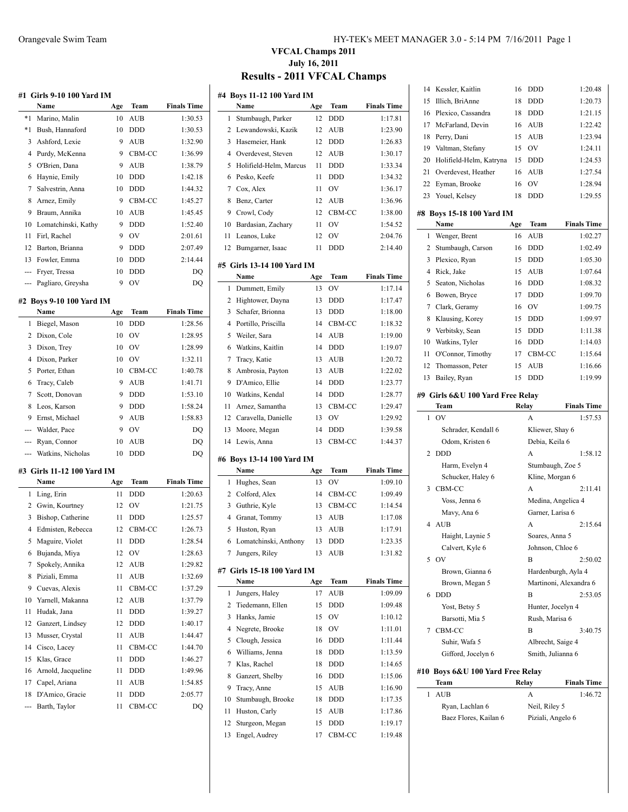|                | Name                             | #1   Girls 9-10 100 Yard IM<br>Age | Team          | <b>Finals Time</b> |
|----------------|----------------------------------|------------------------------------|---------------|--------------------|
| *1             | Marino, Malin                    | 10                                 | AUB           | 1:30.53            |
| $^*1$          | Bush, Hannaford                  | 10                                 | DDD           | 1:30.53            |
| 3              | Ashford, Lexie                   | 9                                  | AUB           | 1:32.90            |
| 4              | Purdy, McKenna                   | 9                                  | CBM-CC        | 1:36.99            |
| 5              | O'Brien, Dana                    | 9                                  | <b>AUB</b>    | 1:38.79            |
|                |                                  |                                    | <b>DDD</b>    |                    |
| 6              | Haynie, Emily                    | 10                                 |               | 1:42.18            |
| 7              | Salvestrin, Anna                 | 10                                 | DDD           | 1:44.32            |
| 8              | Arnez, Emily                     | 9                                  | CBM-CC        | 1:45.27            |
| 9              | Braum, Annika                    | 10                                 | AUB           | 1:45.45            |
| 10             | Lomatchinski, Kathy              | 9                                  | <b>DDD</b>    | 1:52.40            |
| 11             | Firl, Rachel                     | 9                                  | OV            | 2:01.61            |
| 12             | Barton, Brianna                  | 9                                  | <b>DDD</b>    | 2:07.49            |
| 13             | Fowler, Emma                     | 10                                 | <b>DDD</b>    | 2:14.44            |
| ---            | Fryer, Tressa                    | 10                                 | <b>DDD</b>    | DQ                 |
| ---            | Pagliaro, Greysha                | 9                                  | OV            | DQ                 |
|                | #2 Boys 9-10 100 Yard IM         |                                    |               |                    |
|                | Name                             | Age                                | Team          | <b>Finals Time</b> |
| 1              | Biegel, Mason                    | 10                                 | <b>DDD</b>    | 1:28.56            |
| 2              | Dixon, Cole                      | 10                                 | OV            | 1:28.95            |
| 3              | Dixon, Trey                      | 10                                 | OV            | 1:28.99            |
| 4              | Dixon, Parker                    | 10                                 | $\hbox{OV}$   | 1:32.11            |
| 5              | Porter, Ethan                    | 10                                 | CBM-CC        | 1:40.78            |
| 6              | Tracy, Caleb                     | 9                                  | <b>AUB</b>    | 1:41.71            |
| 7              | Scott, Donovan                   | 9                                  | <b>DDD</b>    | 1:53.10            |
| 8              | Leos, Karson                     | 9                                  | <b>DDD</b>    | 1:58.24            |
| 9              |                                  |                                    |               |                    |
|                | Ernst, Michael                   | 9                                  | AUB           | 1:58.83            |
|                |                                  |                                    |               |                    |
| ---            | Walder, Pace                     | 9                                  | OV            | DQ                 |
|                | --- Ryan, Connor                 | 10                                 | AUB           | DQ                 |
| ---            | Watkins, Nicholas                | 10                                 | DDD           | DQ                 |
|                | #3 Girls 11-12 100 Yard IM       |                                    |               |                    |
|                | Name                             | Age                                | Team          | <b>Finals Time</b> |
| 1              | Ling, Erin                       | 11                                 | <b>DDD</b>    | 1:20.63            |
|                | 2 Gwin, Kourtney                 | 12                                 | OV            | 1:21.75            |
| 3              | Bishop, Catherine                | 11                                 | <b>DDD</b>    | 1:25.57            |
| $\overline{4}$ | Edmisten, Rebecca                | 12                                 | CBM-CC        | 1:26.73            |
| 5              | Maguire, Violet                  | 11                                 | DDD           | 1:28.54            |
| 6              | Bujanda, Miya                    | 12                                 | OV            | 1:28.63            |
| 7              | Spokely, Annika                  | 12                                 | <b>AUB</b>    | 1:29.82            |
| 8              | Piziali, Emma                    | 11                                 | AUB           | 1:32.69            |
| 9              | Cuevas, Alexis                   | 11                                 | CBM-CC        | 1:37.29            |
| 10             | Yarnell, Makanna                 | 12                                 | AUB           | 1:37.79            |
|                |                                  |                                    |               |                    |
| 11             | Hudak, Jana                      | 11                                 | DDD           | 1:39.27            |
| 12             | Ganzert, Lindsey                 | 12                                 | DDD           | 1:40.17            |
| 13             | Musser, Crystal                  | 11                                 | AUB           | 1:44.47            |
| 14             | Cisco, Lacey                     | 11                                 | CBM-CC        | 1:44.70            |
| 15             | Klas, Grace                      | 11                                 | <b>DDD</b>    | 1:46.27            |
| 16             | Arnold, Jacqueline               | 11                                 | DDD           | 1:49.96            |
| 17             | Capel, Ariana                    | 11                                 | AUB           | 1:54.85            |
| 18<br>---      | D'Amico, Gracie<br>Barth, Taylor | 11<br>11                           | DDD<br>CBM-CC | 2:05.77<br>DQ      |

#### Orangevale Swim Team HY-TEK's MEET MANAGER 3.0 - 5:14 PM 7/16/2011 Page 1

### **VFCAL Champs 2011 July 16, 2011 Results - 2011 VFCAL Champs**

 $\mathbf{r}$ 

|                | #4 Boys 11-12 100 Yard IM   |     |            |                    |
|----------------|-----------------------------|-----|------------|--------------------|
|                | Name                        | Age | Team       | <b>Finals Time</b> |
| 1              | Stumbaugh, Parker           | 12  | <b>DDD</b> | 1:17.81            |
| 2              | Lewandowski, Kazik          | 12  | AUB        | 1:23.90            |
| 3              | Hasemeier, Hank             | 12  | <b>DDD</b> | 1:26.83            |
| $\overline{4}$ | Overdevest, Steven          | 12  | <b>AUB</b> | 1:30.17            |
| 5              | Holifield-Helm, Marcus      | 11  | DDD        | 1:33.34            |
| 6              | Pesko, Keefe                | 11  | <b>DDD</b> | 1:34.32            |
| 7              | Cox, Alex                   | 11  | OV         | 1:36.17            |
| 8              | Benz, Carter                | 12  | <b>AUB</b> | 1:36.96            |
| 9              | Crowl, Cody                 | 12  | CBM-CC     | 1:38.00            |
| 10             | Bardasian, Zachary          | 11  | OV         | 1:54.52            |
| 11             | Leanos, Luke                | 12  | OV         | 2:04.76            |
| 12             | Bumgarner, Isaac            | 11  | <b>DDD</b> | 2:14.40            |
|                |                             |     |            |                    |
|                | #5 Girls 13-14 100 Yard IM  |     |            |                    |
|                | Name                        | Age | Team       | <b>Finals Time</b> |
| 1              | Dummett, Emily              | 13  | OV         | 1:17.14            |
| 2              | Hightower, Dayna            | 13  | DDD        | 1:17.47            |
| 3              | Schafer, Brionna            | 13  | DDD        | 1:18.00            |
| 4              | Portillo, Priscilla         | 14  | CBM-CC     | 1:18.32            |
| 5              | Weiler, Sara                | 14  | <b>AUB</b> | 1:19.00            |
| 6              | Watkins, Kaitlin            | 14  | DDD        | 1:19.07            |
| 7              | Tracy, Katie                | 13  | AUB        | 1:20.72            |
| 8              | Ambrosia, Payton            | 13  | AUB        | 1:22.02            |
| 9              | D'Amico, Ellie              | 14  | DDD        | 1:23.77            |
| 10             | Watkins, Kendal             | 14  | <b>DDD</b> | 1:28.77            |
| 11             | Arnez, Samantha             | 13  | CBM-CC     | 1:29.47            |
| 12             | Caravella, Danielle         | 13  | OV         | 1:29.92            |
| 13             | Moore, Megan                | 14  | DDD        | 1:39.58            |
| 14             | Lewis, Anna                 | 13  | CBM-CC     | 1:44.37            |
|                | #6 Bovs 13-14 100 Yard IM   |     |            |                    |
|                | Name                        | Age | Team       | <b>Finals Time</b> |
| 1              | Hughes, Sean                | 13  | OV         | 1:09.10            |
|                | 2 Colford, Alex             | 14  | CBM-CC     | 1:09.49            |
| 3              | Guthrie, Kyle               | 13  | CBM-CC     | 1:14.54            |
| 4              | Granat, Tommy               | 13  | AUB        | 1:17.08            |
| 5              | Huston, Ryan                | 13  | <b>AUB</b> | 1:17.91            |
| 6              | Lomatchinski, Anthony       | 13  | <b>DDD</b> | 1:23.35            |
| 7              | Jungers, Riley              | 13  | AUB        | 1:31.82            |
|                |                             |     |            |                    |
|                | #7  Girls 15-18 100 Yard IM |     |            |                    |
|                | Name                        | Age | Team       | <b>Finals Time</b> |
| 1              | Jungers, Haley              | 17  | AUB        | 1:09.09            |
| 2              | Tiedemann, Ellen            | 15  | DDD        | 1:09.48            |
| 3              | Hanks, Jamie                | 15  | OV         | 1:10.12            |
| 4              | Negrete, Brooke             | 18  | OV         | 1:11.01            |
| 5              | Clough, Jessica             | 16  | DDD        | 1:11.44            |
| 6              | Williams, Jenna             | 18  | DDD        | 1:13.59            |
| 7              | Klas, Rachel                | 18  | DDD        | 1:14.65            |
| 8              | Ganzert, Shelby             | 16  | DDD        | 1:15.06            |
| 9              | Tracy, Anne                 | 15  | AUB        | 1:16.90            |
| 10             | Stumbaugh, Brooke           | 18  | DDD        | 1:17.35            |
| 11             | Huston, Carly               | 15  | AUB        | 1:17.86            |
| 12             | Sturgeon, Megan             | 15  | DDD        | 1:19.17            |
| 13             | Engel, Audrey               | 17  | CBM-CC     | 1:19.48            |

| 14  |                                  |       |                     |                        |
|-----|----------------------------------|-------|---------------------|------------------------|
|     | Kessler, Kaitlin                 | 16    | DDD                 | 1:20.48                |
| 15  | Illich, BriAnne                  | 18    | DDD                 | 1:20.73                |
| 16  | Plexico, Cassandra               | 18    | DDD                 | 1:21.15                |
| 17  | McFarland, Devin                 | 16    | AUB                 | 1:22.42                |
| 18  | Perry, Dani                      | 15    | <b>AUB</b>          | 1:23.94                |
| 19  | Valtman, Stefany                 | 15    | OV                  | 1:24.11                |
| 20  | Holifield-Helm, Katryna          | 15    | DDD                 | 1:24.53                |
| 21  | Overdevest, Heather              | 16    | <b>AUB</b>          | 1:27.54                |
| 22  | Eyman, Brooke                    | 16    | OV                  | 1:28.94                |
| 23  | Youel, Kelsey                    | 18    | DDD                 | 1:29.55                |
|     | #8 Boys 15-18 100 Yard IM        |       |                     |                        |
|     | Name                             | Age   | Team                | <b>Finals Time</b>     |
| 1   | Wenger, Brent                    | 16    | <b>AUB</b>          | 1:02.27                |
| 2   | Stumbaugh, Carson                | 16    | DDD                 | 1:02.49                |
| 3   | Plexico, Ryan                    | 15    | DDD                 | 1:05.30                |
| 4   | Rick, Jake                       | 15    | <b>AUB</b>          | 1:07.64                |
| 5   | Seaton, Nicholas                 | 16    | <b>DDD</b>          | 1:08.32                |
| 6   | Bowen, Bryce                     | 17    | <b>DDD</b>          | 1:09.70                |
| 7   | Clark, Geramy                    | 16    | OV                  | 1:09.75                |
| 8   | Klausing, Korey                  | 15    | DDD                 | 1:09.97                |
| 9   | Verbitsky, Sean                  | 15    | <b>DDD</b>          | 1:11.38                |
| 10  | Watkins, Tyler                   | 16    | <b>DDD</b>          | 1:14.03                |
| 11  | O'Connor, Timothy                | 17    | CBM-CC              | 1:15.64                |
| 12  | Thomasson, Peter                 | 15    | <b>AUB</b>          | 1:16.66                |
| 13  | Bailey, Ryan                     | 15    | <b>DDD</b>          | 1:19.99                |
|     |                                  |       |                     |                        |
|     | #9 Girls 6&U 100 Yard Free Relay |       |                     |                        |
|     | Team                             | Relay |                     | <b>Finals Time</b>     |
| 1   | OV                               |       | A                   | 1:57.53                |
|     | Schrader, Kendall 6              |       | Kliewer, Shay 6     |                        |
|     | Odom, Kristen 6                  |       | Debia, Keila 6      |                        |
| 2   | <b>DDD</b>                       |       |                     | 1:58.12                |
|     |                                  |       | A                   |                        |
|     | Harm, Evelyn 4                   |       | Stumbaugh, Zoe 5    |                        |
|     | Schucker, Haley 6                |       | Kline, Morgan 6     |                        |
| 3   | CBM-CC                           |       | A                   | 2:11.41                |
|     | Voss, Jenna 6                    |       | Medina, Angelica 4  |                        |
|     | Mavy, Ana 6                      |       | Garner, Larisa 6    |                        |
| 4   | <b>AUB</b>                       |       | A                   | 2:15.64                |
|     | Haight, Laynie 5                 |       | Soares, Anna 5      |                        |
|     | Calvert, Kyle 6                  |       | Johnson, Chloe 6    |                        |
| 5   | <b>OV</b>                        |       | B                   | 2:50.02                |
|     | Brown, Gianna 6                  |       | Hardenburgh, Ayla 4 |                        |
|     | Brown, Megan 5                   |       |                     | Martinoni, Alexandra 6 |
| 6   | <b>DDD</b>                       |       | B                   | 2:53.05                |
|     | Yost, Betsy 5                    |       | Hunter, Jocelyn 4   |                        |
|     | Barsotti, Mia 5                  |       | Rush, Marisa 6      |                        |
| 7   | CBM-CC                           |       | B                   | 3:40.75                |
|     | Suhir, Wafa 5                    |       | Albrecht, Saige 4   |                        |
|     | Gifford, Jocelyn 6               |       | Smith, Julianna 6   |                        |
| #10 | Boys 6&U 100 Yard Free Relay     |       |                     |                        |
|     | Team                             | Relay |                     | <b>Finals Time</b>     |
| 1   | AUB                              |       | А                   | 1:46.72                |
|     | Ryan, Lachlan 6                  |       | Neil, Riley 5       |                        |
|     | Baez Flores, Kailan 6            |       | Piziali, Angelo 6   |                        |
|     |                                  |       |                     |                        |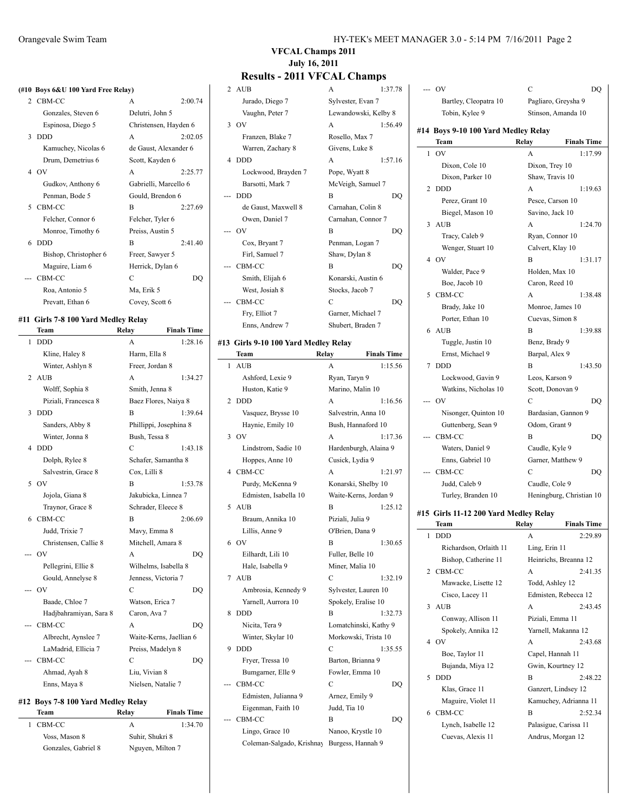#### **(#10 Boys 6&U 100 Yard Free Relay)**

|   | 2 CBM-CC              | A                     | 2:00.74 |
|---|-----------------------|-----------------------|---------|
|   | Gonzales, Steven 6    | Delutri, John 5       |         |
|   | Espinosa, Diego 5     | Christensen, Hayden 6 |         |
| 3 | <b>DDD</b>            | A                     | 2:02.05 |
|   | Kamuchey, Nicolas 6   | de Gaust, Alexander 6 |         |
|   | Drum, Demetrius 6     | Scott, Kayden 6       |         |
|   | 4 OV                  | A                     | 2:25.77 |
|   | Gudkov, Anthony 6     | Gabrielli, Marcello 6 |         |
|   | Penman, Bode 5        | Gould, Brendon 6      |         |
| 5 | CBM-CC                | B                     | 2:27.69 |
|   | Felcher, Connor 6     | Felcher, Tyler 6      |         |
|   | Monroe, Timothy 6     | Preiss, Austin 5      |         |
|   | $6$ DDD               | R                     | 2.4140  |
|   | Bishop, Christopher 6 | Freer, Sawyer 5       |         |
|   | Maguire, Liam 6       | Herrick, Dylan 6      |         |
|   | CBM-CC                | C                     | DQ      |
|   | Roa, Antonio 5        | Ma, Erik 5            |         |
|   | Prevatt, Ethan 6      | Covey, Scott 6        |         |
|   |                       |                       |         |

#### **#11 Girls 7-8 100 Yard Medley Relay**

|   | Team                   | Relay                  | <b>Finals Time</b>      |
|---|------------------------|------------------------|-------------------------|
| 1 | <b>DDD</b>             | A                      | 1:28.16                 |
|   | Kline, Haley 8         | Harm, Ella 8           |                         |
|   | Winter, Ashlyn 8       | Freer, Jordan 8        |                         |
| 2 | <b>AUB</b>             | A                      | 1:34.27                 |
|   | Wolff, Sophia 8        | Smith, Jenna 8         |                         |
|   | Piziali, Francesca 8   | Baez Flores, Naiya 8   |                         |
| 3 | <b>DDD</b>             | B                      | 1:39.64                 |
|   | Sanders, Abby 8        | Phillippi, Josephina 8 |                         |
|   | Winter, Jonna 8        | Bush, Tessa 8          |                         |
| 4 | <b>DDD</b>             | C                      | 1:43.18                 |
|   | Dolph, Rylee 8         | Schafer, Samantha 8    |                         |
|   | Salvestrin, Grace 8    | Cox, Lilli 8           |                         |
| 5 | OV                     | B                      | 1:53.78                 |
|   | Jojola, Giana 8        | Jakubicka, Linnea 7    |                         |
|   | Traynor, Grace 8       | Schrader, Eleece 8     |                         |
| 6 | CBM-CC                 | B                      | 2:06.69                 |
|   | Judd, Trixie 7         | Mavy, Emma 8           |                         |
|   | Christensen, Callie 8  | Mitchell, Amara 8      |                         |
|   | --- OV                 | A                      | DQ                      |
|   | Pellegrini, Ellie 8    | Wilhelms, Isabella 8   |                         |
|   | Gould, Annelyse 8      | Jenness, Victoria 7    |                         |
|   | - OV                   | С                      | DQ                      |
|   | Baade, Chloe 7         | Watson, Erica 7        |                         |
|   | Hadjbahramiyan, Sara 8 | Caron, Ava 7           |                         |
|   | CBM-CC                 | A                      | DO                      |
|   | Albrecht, Aynslee 7    |                        | Waite-Kerns, Jaellian 6 |
|   | LaMadrid, Ellicia 7    | Preiss, Madelyn 8      |                         |
|   | CBM-CC                 | С                      | DO                      |
|   | Ahmad, Ayah 8          | Liu, Vivian 8          |                         |
|   | Enns, Maya 8           | Nielsen, Natalie 7     |                         |
|   |                        |                        |                         |

#### **#12 Boys 7-8 100 Yard Medley Relay**

| Team                | Relav           | <b>Finals Time</b> |
|---------------------|-----------------|--------------------|
| 1 CBM-CC            | А               | 1:34.70            |
| Voss, Mason 8       | Suhir, Shukri 8 |                    |
| Gonzales, Gabriel 8 |                 | Nguyen, Milton 7   |

## **VFCAL Champs 2011 July 16, 2011**

## **Results - 2011 VFCAL Champs**

### 2 AUB A 1:37.78 Jurado, Diego 7 Sylvester, Evan 7 Vaughn, Peter 7 Lewandowski, Kelby 8 3 OV A 1:56.49 Franzen, Blake 7 Rosello, Max 7 Warren, Zachary 8 Givens, Luke 8 4 DDD A 1:57.16 Lockwood, Brayden 7 Pope, Wyatt 8 Barsotti, Mark 7 McVeigh, Samuel 7 --- DDD B DQ de Gaust, Maxwell 8 Carnahan, Colin 8 Owen, Daniel 7 Carnahan, Connor 7 --- OV B DQ Cox, Bryant 7 Penman, Logan 7 Firl, Samuel 7 Shaw, Dylan 8 --- CBM-CC B DQ Smith, Elijah 6 Konarski, Austin 6 West, Josiah 8 Stocks, Jacob 7 --- CBM-CC C DQ Fry, Elliot 7 Garner, Michael 7 Enns, Andrew 7 Shubert, Braden 7 **#13 Girls 9-10 100 Yard Medley Relay Team Relay Finals Time** 1 AUB

2 DDD

3 OV

4 CBM-CC

5 AUB

 $7$  AUB

8 DDD

9 DDD C 1:35.55

--- CBM-CC

Bumgarner, --- CBM-CC Edmisten,

| 1 | AUB                   | A                     | 1:15.56 |
|---|-----------------------|-----------------------|---------|
|   | Ashford, Lexie 9      | Ryan, Taryn 9         |         |
|   | Huston, Katie 9       | Marino, Malin 10      |         |
| 2 | <b>DDD</b>            | A                     | 1:16.56 |
|   | Vasquez, Brysse 10    | Salvestrin, Anna 10   |         |
|   | Haynie, Emily 10      | Bush, Hannaford 10    |         |
| 3 | OV                    | A                     | 1:17.36 |
|   | Lindstrom, Sadie 10   | Hardenburgh, Alaina 9 |         |
|   | Hoppes, Anne 10       | Cusick, Lydia 9       |         |
| 4 | CBM-CC                | A                     | 1:21.97 |
|   | Purdy, McKenna 9      | Konarski, Shelby 10   |         |
|   | Edmisten, Isabella 10 | Waite-Kerns, Jordan 9 |         |
| 5 | <b>AUB</b>            | B                     | 1:25.12 |
|   | Braum, Annika 10      | Piziali, Julia 9      |         |
|   | Lillis, Anne 9        | O'Brien, Dana 9       |         |
| 6 | O <sub>V</sub>        | B                     | 1:30.65 |
|   | Eilhardt, Lili 10     | Fuller, Belle 10      |         |
|   | Hale, Isabella 9      | Miner, Malia 10       |         |
| 7 | <b>AUB</b>            | C                     | 1:32.19 |
|   | Ambrosia, Kennedy 9   | Sylvester, Lauren 10  |         |
|   | Yarnell, Aurrora 10   | Spokely, Eralise 10   |         |
| 8 | <b>DDD</b>            | B                     | 1:32.73 |
|   | Nicita, Tera 9        | Lomatchinski, Kathy 9 |         |
|   | Winter, Skylar 10     | Morkowski, Trista 10  |         |
| 9 | DDD                   | C                     | 1:35.55 |
|   | Fryer, Tressa 10      | Barton, Brianna 9     |         |
|   | Bumgarner, Elle 9     | Fowler, Emma 10       |         |
|   | CBM-CC                | C                     | DQ      |
|   | Edmisten, Julianna 9  | Arnez, Emily 9        |         |
|   | Eigenman, Faith 10    | Judd, Tia 10          |         |
|   | CBM-CC                | B                     | DQ      |
|   | Lingo, Grace 10       | Nanoo, Krystle 10     |         |

Coleman-Salgado, Krishnay Burgess, Hannah 9

| ---            | <b>OV</b>                             | C                   | DQ                       |
|----------------|---------------------------------------|---------------------|--------------------------|
|                | Bartley, Cleopatra 10                 | Pagliaro, Greysha 9 |                          |
|                | Tobin, Kylee 9                        |                     | Stinson, Amanda 10       |
|                | #14 Boys 9-10 100 Yard Medley Relay   |                     |                          |
|                | Team                                  | Relay               | <b>Finals Time</b>       |
| 1              | O <sub>V</sub>                        | A                   | 1:17.99                  |
|                | Dixon, Cole 10                        | Dixon, Trey 10      |                          |
|                | Dixon, Parker 10                      | Shaw, Travis 10     |                          |
| $\overline{c}$ | <b>DDD</b>                            | A                   | 1:19.63                  |
|                | Perez, Grant 10                       | Pesce, Carson 10    |                          |
|                | Biegel, Mason 10                      | Savino, Jack 10     |                          |
| 3              | <b>AUB</b>                            | A                   | 1:24.70                  |
|                | Tracy, Caleb 9                        | Ryan, Connor 10     |                          |
|                | Wenger, Stuart 10                     | Calvert, Klay 10    |                          |
| 4              | O <sub>V</sub>                        | B                   | 1:31.17                  |
|                | Walder, Pace 9                        | Holden, Max 10      |                          |
|                | Boe, Jacob 10                         | Caron, Reed 10      |                          |
| 5              | CBM-CC                                | A                   | 1:38.48                  |
|                | Brady, Jake 10                        | Monroe, James 10    |                          |
|                | Porter, Ethan 10                      | Cuevas, Simon 8     |                          |
| 6              | <b>AUB</b>                            | B                   | 1:39.88                  |
|                | Tuggle, Justin 10                     | Benz, Brady 9       |                          |
|                | Ernst, Michael 9                      | Barpal, Alex 9      |                          |
| 7              | <b>DDD</b>                            | B                   | 1:43.50                  |
|                | Lockwood, Gavin 9                     | Leos, Karson 9      |                          |
|                | Watkins, Nicholas 10                  | Scott, Donovan 9    |                          |
| ---            | OV                                    | C                   | DO                       |
|                | Nisonger, Quinton 10                  |                     | Bardasian, Gannon 9      |
|                | Guttenberg, Sean 9                    | Odom, Grant 9       |                          |
|                | CBM-CC                                | B                   | DO                       |
|                | Waters, Daniel 9                      | Caudle, Kyle 9      |                          |
|                | Enns, Gabriel 10                      | Garner, Matthew 9   |                          |
|                | CBM-CC                                | C                   | DO                       |
|                | Judd, Caleb 9                         | Caudle, Cole 9      |                          |
|                | Turley, Branden 10                    |                     | Heningburg, Christian 10 |
|                | #15 Girls 11-12 200 Yard Medley Relay |                     |                          |
|                | Team                                  | Relay               | <b>Finals Time</b>       |
| 1              | <b>DDD</b>                            | А                   | 2:29.89                  |
|                | Richardson, Orlaith 11                | Ling, Erin 11       |                          |
|                |                                       |                     |                          |

| 1  | DDD.                   | A                     | 2:29.89 |
|----|------------------------|-----------------------|---------|
|    | Richardson, Orlaith 11 | Ling, Erin 11         |         |
|    | Bishop, Catherine 11   | Heinrichs, Breanna 12 |         |
|    | 2 CBM-CC               | A                     | 2:41.35 |
|    | Mawacke, Lisette 12    | Todd, Ashley 12       |         |
|    | Cisco, Lacey 11        | Edmisten, Rebecca 12  |         |
|    | 3 AUB                  | A                     | 2.43.45 |
|    | Conway, Allison 11     | Piziali, Emma 11      |         |
|    | Spokely, Annika 12     | Yarnell, Makanna 12   |         |
|    | 4 OV                   | A                     | 2:43.68 |
|    | Boe, Taylor 11         | Capel, Hannah 11      |         |
|    | Bujanda, Miya 12       | Gwin, Kourtney 12     |         |
| 5. | <b>DDD</b>             | B                     | 2:48.22 |
|    | Klas, Grace 11         | Ganzert, Lindsey 12   |         |
|    | Maguire, Violet 11     | Kamuchey, Adrianna 11 |         |
|    | 6 CBM-CC               | B                     | 2:52.34 |
|    | Lynch, Isabelle 12     | Palasigue, Carissa 11 |         |
|    | Cuevas, Alexis 11      | Andrus, Morgan 12     |         |
|    |                        |                       |         |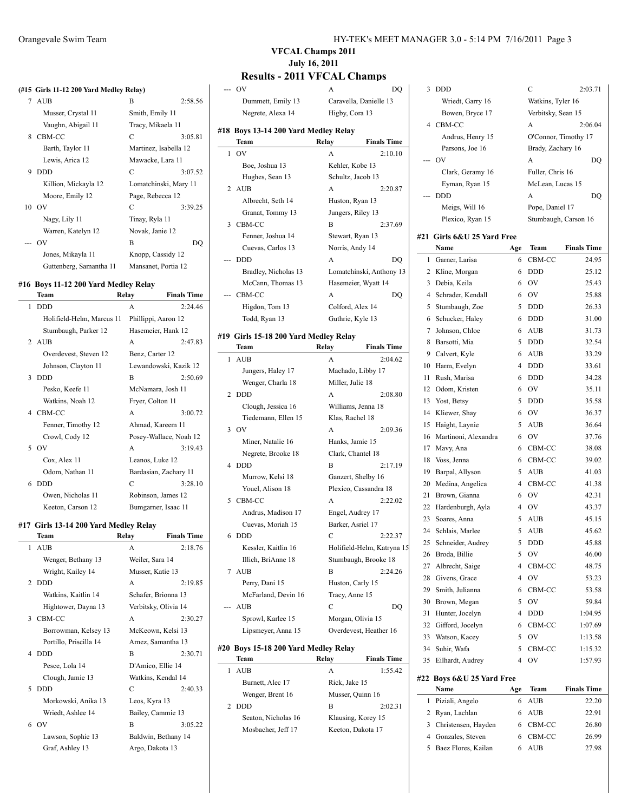#### (#15 Girls 11-12 200 Yard Medley Rel

|   | 7 AUB                   | B                     | 2:58.56 |
|---|-------------------------|-----------------------|---------|
|   | Musser, Crystal 11      | Smith, Emily 11       |         |
|   | Vaughn, Abigail 11      | Tracy, Mikaela 11     |         |
|   | 8 CBM-CC                | C                     | 3:05.81 |
|   | Barth, Taylor 11        | Martinez, Isabella 12 |         |
|   | Lewis, Arica 12         | Mawacke, Lara 11      |         |
| 9 | <b>DDD</b>              | C                     | 3:07.52 |
|   | Killion, Mickayla 12    | Lomatchinski, Mary 11 |         |
|   | Moore, Emily 12         | Page, Rebecca 12      |         |
|   | $10$ OV                 | C                     | 3:39.25 |
|   | Nagy, Lily 11           | Tinay, Ryla 11        |         |
|   | Warren, Katelyn 12      | Novak, Janie 12       |         |
|   | $\sim 0V$               | B                     | DO      |
|   | Jones, Mikayla 11       | Knopp, Cassidy 12     |         |
|   | Guttenberg, Samantha 11 | Mansanet, Portia 12   |         |

#### **#16 Boys 11-12 200 Yard Medley Relay**

|                             | Team                      | Relay               | <b>Finals Time</b>     |
|-----------------------------|---------------------------|---------------------|------------------------|
| 1                           | <b>DDD</b>                | A                   | 2:24.46                |
|                             | Holifield-Helm, Marcus 11 | Phillippi, Aaron 12 |                        |
|                             | Stumbaugh, Parker 12      | Hasemeier, Hank 12  |                        |
| $\mathcal{D}_{\mathcal{A}}$ | AUB                       | A                   | 2:47.83                |
|                             | Overdevest, Steven 12     | Benz, Carter 12     |                        |
|                             | Johnson, Clayton 11       |                     | Lewandowski, Kazik 12  |
| 3                           | <b>DDD</b>                | B                   | 2:50.69                |
|                             | Pesko, Keefe 11           | McNamara, Josh 11   |                        |
|                             | Watkins, Noah 12          | Fryer, Colton 11    |                        |
| 4                           | CBM-CC                    | A                   | 3:00.72                |
|                             | Fenner, Timothy 12        | Ahmad, Kareem 11    |                        |
|                             | Crowl, Cody 12            |                     | Posey-Wallace, Noah 12 |
| 5                           | OV                        | A                   | 3:19.43                |
|                             | Cox, Alex 11              | Leanos, Luke 12     |                        |
|                             | Odom, Nathan 11           |                     | Bardasian, Zachary 11  |
| 6                           | <b>DDD</b>                | $\mathcal{C}$       | 3:28.10                |
|                             | Owen, Nicholas 11         | Robinson, James 12  |                        |
|                             | Keeton, Carson 12         | Bumgarner, Isaac 11 |                        |
|                             |                           |                     |                        |

#### **#17 Girls 13-14 200 Yard Medley Relay**

|                | Team                   | Relay            | <b>Finals Time</b>   |
|----------------|------------------------|------------------|----------------------|
| 1              | <b>AUB</b>             | A                | 2:18.76              |
|                | Wenger, Bethany 13     | Weiler, Sara 14  |                      |
|                | Wright, Kailey 14      | Musser, Katie 13 |                      |
| $\mathfrak{D}$ | <b>DDD</b>             | A                | 2:19.85              |
|                | Watkins, Kaitlin 14    |                  | Schafer, Brionna 13  |
|                | Hightower, Dayna 13    |                  | Verbitsky, Olivia 14 |
| 3              | CBM-CC                 | A                | 2:30.27              |
|                | Borrowman, Kelsey 13   |                  | McKeown, Kelsi 13    |
|                | Portillo, Priscilla 14 |                  | Arnez, Samantha 13   |
| 4              | <b>DDD</b>             | B                | 2:30.71              |
|                | Pesce, Lola 14         |                  | D'Amico, Ellie 14    |
|                | Clough, Jamie 13       |                  | Watkins, Kendal 14   |
| 5              | <b>DDD</b>             | C                | 2:40.33              |
|                | Morkowski, Anika 13    | Leos, Kyra 13    |                      |
|                | Wriedt, Ashlee 14      |                  | Bailey, Cammie 13    |
|                | 6 OV                   | B                | 3:05.22              |
|                | Lawson, Sophie 13      |                  | Baldwin, Bethany 14  |
|                | Graf, Ashley 13        | Argo, Dakota 13  |                      |
|                |                        |                  |                      |

## **VFCAL Champs 2011 July 16, 2011**

## **Results - 2011 VFCAL Champs**

| lay)                  | --- OV                                | A                | DQ                         |    | 3 DDD                      |     | $\mathcal{C}$      | 2:03.71              |
|-----------------------|---------------------------------------|------------------|----------------------------|----|----------------------------|-----|--------------------|----------------------|
| 2:58.56               | Dummett, Emily 13                     |                  | Caravella, Danielle 13     |    | Wriedt, Garry 16           |     | Watkins, Tyler 16  |                      |
| mith, Emily 11        | Negrete, Alexa 14                     | Higby, Cora 13   |                            |    | Bowen, Bryce 17            |     | Verbitsky, Sean 15 |                      |
| racy, Mikaela 11      |                                       |                  |                            |    | 4 CBM-CC                   |     | А                  | 2:06.04              |
| 3:05.81               | #18 Boys 13-14 200 Yard Medley Relay  |                  |                            |    | Andrus, Henry 15           |     |                    | O'Connor, Timothy 17 |
| fartinez, Isabella 12 | Team                                  | Relay            | <b>Finals Time</b>         |    | Parsons, Joe 16            |     | Brady, Zachary 16  |                      |
| Iawacke, Lara 11      | $1$ OV                                | A                | 2:10.10                    |    | $-0V$                      |     | A                  | DQ                   |
|                       | Boe, Joshua 13                        |                  | Kehler, Kobe 13            |    |                            |     |                    |                      |
| 3:07.52               | Hughes, Sean 13                       |                  | Schultz, Jacob 13          |    | Clark, Geramy 16           |     | Fuller, Chris 16   |                      |
| omatchinski, Mary 11  | 2 AUB                                 | A                | 2:20.87                    |    | Eyman, Ryan 15             |     | McLean, Lucas 15   |                      |
| age, Rebecca 12       | Albrecht, Seth 14                     |                  | Huston, Ryan 13            |    | --- DDD                    |     | A                  | DQ                   |
| 3:39.25               | Granat, Tommy 13                      |                  | Jungers, Riley 13          |    | Meigs, Will 16             |     | Pope, Daniel 17    |                      |
| inay, Ryla 11         | 3 CBM-CC                              | B                | 2:37.69                    |    | Plexico, Ryan 15           |     |                    | Stumbaugh, Carson 16 |
| lovak, Janie 12       | Fenner, Joshua 14                     |                  | Stewart, Ryan 13           |    | #21 Girls 6&U 25 Yard Free |     |                    |                      |
| DQ                    | Cuevas, Carlos 13                     |                  | Norris, Andy 14            |    | Name                       | Age | Team               | <b>Finals Time</b>   |
| nopp, Cassidy 12      | --- DDD                               | A                | <b>DQ</b>                  |    | 1 Garner, Larisa           | 6   | CBM-CC             | 24.95                |
| Iansanet, Portia 12   |                                       |                  |                            |    |                            |     |                    |                      |
|                       | Bradley, Nicholas 13                  |                  | Lomatchinski, Anthony 13   |    | 2 Kline, Morgan            | 6   | <b>DDD</b>         | 25.12                |
| Relay                 | McCann, Thomas 13                     |                  | Hasemeier, Wyatt 14        |    | 3 Debia, Keila             | 6   | <b>OV</b>          | 25.43                |
| <b>Finals Time</b>    | --- CBM-CC                            | A                | DQ                         |    | 4 Schrader, Kendall        | 6   | OV                 | 25.88                |
| 2:24.46               | Higdon, Tom 13                        |                  | Colford, Alex 14           | 5  | Stumbaugh, Zoe             |     | 5 DDD              | 26.33                |
| hillippi, Aaron 12    | Todd, Ryan 13                         |                  | Guthrie, Kyle 13           |    | 6 Schucker, Haley          |     | 6 DDD              | 31.00                |
| lasemeier, Hank 12    | #19 Girls 15-18 200 Yard Medley Relay |                  |                            |    | 7 Johnson, Chloe           |     | 6 AUB              | 31.73                |
| 2:47.83               | Team                                  | Relay            | <b>Finals Time</b>         |    | 8 Barsotti, Mia            | 5   | <b>DDD</b>         | 32.54                |
| enz, Carter 12        |                                       |                  |                            |    | 9 Calvert, Kyle            | 6   | AUB                | 33.29                |
| ewandowski, Kazik 12  | 1 AUB                                 | A                | 2:04.62                    |    | 10 Harm, Evelyn            | 4   | <b>DDD</b>         | 33.61                |
| 2:50.69               | Jungers, Haley 17                     |                  | Machado, Libby 17          |    | 11 Rush, Marisa            | 6   | <b>DDD</b>         | 34.28                |
| IcNamara, Josh 11     | Wenger, Charla 18                     | Miller, Julie 18 |                            |    | 12 Odom, Kristen           |     | 6 OV               | 35.11                |
| ryer, Colton 11       | 2 DDD                                 | A                | 2:08.80                    |    | 13 Yost, Betsy             |     | 5 DDD              | 35.58                |
| 3:00.72               | Clough, Jessica 16                    |                  | Williams, Jenna 18         |    | 14 Kliewer, Shay           | 6   | - OV               | 36.37                |
| hmad, Kareem 11       | Tiedemann, Ellen 15                   | Klas, Rachel 18  |                            |    |                            |     | 5 AUB              |                      |
|                       | $3$ OV                                | A                | 2:09.36                    |    | 15 Haight, Laynie          |     |                    | 36.64                |
| osey-Wallace, Noah 12 | Miner, Natalie 16                     |                  | Hanks, Jamie 15            | 16 | Martinoni, Alexandra       |     | 6 OV               | 37.76                |
| 3:19.43               | Negrete, Brooke 18                    |                  | Clark, Chantel 18          | 17 | Mavy, Ana                  | 6   | CBM-CC             | 38.08                |
| eanos, Luke 12        | 4 DDD                                 | B                | 2:17.19                    | 18 | Voss, Jenna                |     | 6 CBM-CC           | 39.02                |
| ardasian, Zachary 11  | Murrow, Kelsi 18                      |                  | Ganzert, Shelby 16         | 19 | Barpal, Allyson            |     | 5 AUB              | 41.03                |
| 3:28.10               | Youel, Alison 18                      |                  | Plexico, Cassandra 18      | 20 | Medina, Angelica           |     | 4 CBM-CC           | 41.38                |
| obinson, James 12     | 5 CBM-CC                              | A                | 2:22.02                    | 21 | Brown, Gianna              | 6   | OV                 | 42.31                |
| umgarner, Isaac 11    | Andrus, Madison 17                    |                  | Engel, Audrey 17           | 22 | Hardenburgh, Ayla          | 4   | <b>OV</b>          | 43.37                |
|                       |                                       |                  |                            | 23 | Soares, Anna               |     | 5 AUB              | 45.15                |
| <sup>7</sup> Relay    | Cuevas, Moriah 15                     |                  | Barker, Asriel 17          |    | 24 Schlais, Marlee         |     | 5 AUB              | 45.62                |
| <b>Finals Time</b>    | 6 DDD                                 | C                | 2:22.37                    |    | 25 Schneider, Audrey       |     | 5 DDD              | 45.88                |
| 2:18.76               | Kessler, Kaitlin 16                   |                  | Holifield-Helm, Katryna 15 |    | 26 Broda, Billie           |     | 5 OV               | 46.00                |
| Veiler, Sara 14       | Illich, BriAnne 18                    |                  | Stumbaugh, Brooke 18       | 27 | Albrecht, Saige            |     | 4 CBM-CC           | 48.75                |
| fusser, Katie 13      | 7 AUB                                 | B                | 2:24.26                    | 28 | Givens, Grace              | 4   | <b>OV</b>          | 53.23                |
| 2:19.85               | Perry, Dani 15                        |                  | Huston, Carly 15           | 29 | Smith, Julianna            |     | CBM-CC             | 53.58                |
| chafer, Brionna 13    | McFarland, Devin 16                   | Tracy, Anne 15   |                            |    |                            | 6   | 5 OV               | 59.84                |
| erbitsky, Olivia 14   | --- AUB                               | C                | DQ                         | 30 | Brown, Megan               |     |                    |                      |
| 2:30.27               | Sprowl, Karlee 15                     |                  | Morgan, Olivia 15          |    | 31 Hunter, Jocelyn         | 4   | <b>DDD</b>         | 1:04.95              |
| IcKeown, Kelsi 13     | Lipsmeyer, Anna 15                    |                  | Overdevest, Heather 16     | 32 | Gifford, Jocelyn           | 6   | CBM-CC             | 1:07.69              |
| rnez, Samantha 13     |                                       |                  |                            | 33 | Watson, Kacey              | 5   | <b>OV</b>          | 1:13.58              |
| 2:30.71               | #20 Boys 15-18 200 Yard Medley Relay  |                  |                            | 34 | Suhir, Wafa                | 5   | CBM-CC             | 1:15.32              |
| l'Amico, Ellie 14     | Team                                  | Relay            | <b>Finals Time</b>         |    | 35 Eilhardt, Audrey        |     | 4 OV               | 1:57.93              |
| Vatkins, Kendal 14    | 1 AUB                                 | A                | 1:55.42                    |    |                            |     |                    |                      |
|                       | Burnett, Alec 17                      | Rick, Jake 15    |                            |    | #22 Boys 6&U 25 Yard Free  |     |                    |                      |
| 2:40.33               | Wenger, Brent 16                      |                  | Musser, Quinn 16           |    | Name                       | Age | Team               | <b>Finals Time</b>   |
| eos, Kyra 13          | 2 DDD                                 | B                | 2:02.31                    |    | 1 Piziali, Angelo          | 6   | AUB                | 22.20                |
| ailey, Cammie 13      | Seaton, Nicholas 16                   |                  | Klausing, Korey 15         |    | 2 Ryan, Lachlan            | 6   | AUB                | 22.91                |
| 3:05.22               | Mosbacher, Jeff 17                    |                  | Keeton, Dakota 17          |    | 3 Christensen, Hayden      |     | 6 CBM-CC           | 26.80                |
| aldwin, Bethany 14    |                                       |                  |                            |    | 4 Gonzales, Steven         |     | 6 CBM-CC           | 26.99                |
| rgo, Dakota 13        |                                       |                  |                            |    | 5 Baez Flores, Kailan      |     | 6 AUB              | 27.98                |
|                       |                                       |                  |                            |    |                            |     |                    |                      |
|                       |                                       |                  |                            |    |                            |     |                    |                      |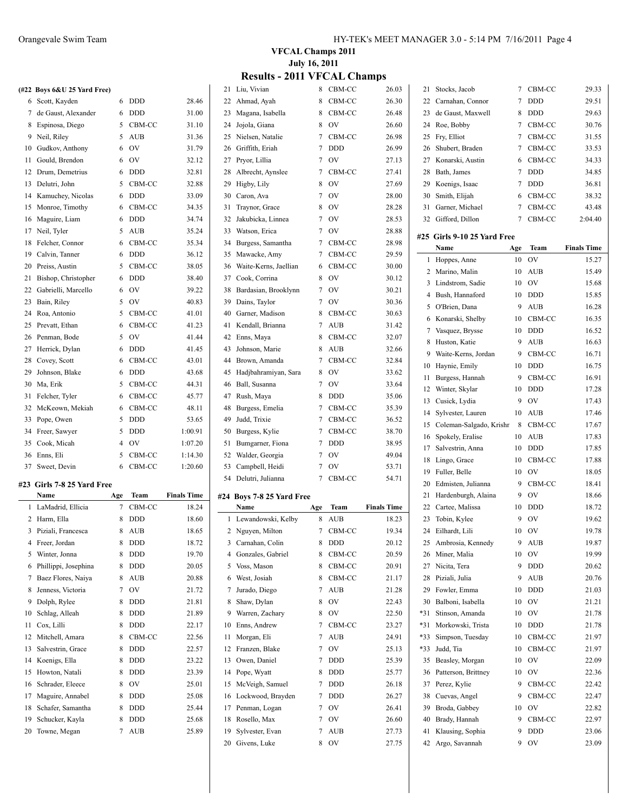|    | (#22 Boys 6&U 25 Yard Free) |   |            |         |
|----|-----------------------------|---|------------|---------|
| 6  | Scott, Kayden               | 6 | <b>DDD</b> | 28.46   |
| 7  | de Gaust, Alexander         | 6 | <b>DDD</b> | 31.00   |
| 8  | Espinosa, Diego             | 5 | CBM-CC     | 31.10   |
| 9  | Neil, Riley                 | 5 | <b>AUB</b> | 31.36   |
| 10 | Gudkov, Anthony             | 6 | OV         | 31.79   |
| 11 | Gould, Brendon              | 6 | OV         | 32.12   |
| 12 | Drum, Demetrius             | 6 | <b>DDD</b> | 32.81   |
| 13 | Delutri, John               | 5 | CBM-CC     | 32.88   |
| 14 | Kamuchey, Nicolas           | 6 | <b>DDD</b> | 33.09   |
| 15 | Monroe, Timothy             | 6 | CBM-CC     | 34.35   |
| 16 | Maguire, Liam               | 6 | <b>DDD</b> | 34.74   |
|    | 17 Neil, Tyler              | 5 | AUB        | 35.24   |
| 18 | Felcher, Connor             | 6 | CBM-CC     | 35.34   |
| 19 | Calvin, Tanner              | 6 | <b>DDD</b> | 36.12   |
| 20 | Preiss, Austin              | 5 | CBM-CC     | 38.05   |
| 21 | Bishop, Christopher         | 6 | <b>DDD</b> | 38.40   |
| 22 | Gabrielli, Marcello         | 6 | OV         | 39.22   |
| 23 | Bain, Riley                 | 5 | <b>OV</b>  | 40.83   |
| 24 | Roa, Antonio                | 5 | CBM-CC     | 41.01   |
| 25 | Prevatt, Ethan              | 6 | CBM-CC     | 41.23   |
| 26 | Penman, Bode                | 5 | OV         | 41.44   |
| 27 | Herrick, Dylan              | 6 | <b>DDD</b> | 41.45   |
| 28 | Covey, Scott                | 6 | CBM-CC     | 43.01   |
| 29 | Johnson, Blake              | 6 | <b>DDD</b> | 43.68   |
| 30 | Ma, Erik                    | 5 | CBM-CC     | 44.31   |
| 31 | Felcher, Tyler              | 6 | CBM-CC     | 45.77   |
| 32 | McKeown, Mekiah             | 6 | CBM-CC     | 48.11   |
| 33 | Pope, Owen                  | 5 | <b>DDD</b> | 53.65   |
| 34 | Freer, Sawyer               | 5 | <b>DDD</b> | 1:00.91 |
| 35 | Cook, Micah                 | 4 | OV         | 1:07.20 |
| 36 | Enns, Eli                   | 5 | CBM-CC     | 1:14.30 |
| 37 | Sweet, Devin                | 6 | CBM-CC     | 1:20.60 |

#### **#23 Girls 7-8 25 Yard Free**

|    | Name                 | Age | Team       | <b>Finals Time</b> |
|----|----------------------|-----|------------|--------------------|
| 1  | LaMadrid, Ellicia    | 7   | CBM-CC     | 18.24              |
| 2  | Harm, Ella           | 8   | <b>DDD</b> | 18.60              |
| 3  | Piziali, Francesca   | 8   | <b>AUB</b> | 18.65              |
| 4  | Freer, Jordan        | 8   | <b>DDD</b> | 18.72              |
| 5  | Winter, Jonna        | 8   | <b>DDD</b> | 19.70              |
| 6  | Phillippi, Josephina | 8   | <b>DDD</b> | 20.05              |
| 7  | Baez Flores, Naiya   | 8   | <b>AUB</b> | 20.88              |
| 8  | Jenness, Victoria    | 7   | OV         | 21.72              |
| 9  | Dolph, Rylee         | 8   | <b>DDD</b> | 21.81              |
| 10 | Schlag, Alleah       | 8   | <b>DDD</b> | 21.89              |
| 11 | Cox, Lilli           | 8   | <b>DDD</b> | 22.17              |
| 12 | Mitchell, Amara      | 8   | CBM-CC     | 22.56              |
| 13 | Salvestrin, Grace    | 8   | <b>DDD</b> | 22.57              |
| 14 | Koenigs, Ella        | 8   | <b>DDD</b> | 23.22              |
| 15 | Howton, Natali       | 8   | <b>DDD</b> | 23.39              |
| 16 | Schrader, Eleece     | 8   | OV         | 25.01              |
| 17 | Maguire, Annabel     | 8   | <b>DDD</b> | 25.08              |
| 18 | Schafer, Samantha    | 8   | <b>DDD</b> | 25.44              |
| 19 | Schucker, Kayla      | 8   | <b>DDD</b> | 25.68              |
| 20 | Towne, Megan         | 7   | <b>AUB</b> | 25.89              |

## **VFCAL Champs 2011 July 16, 2011**

## **Results - 2011 VFCAL Champs**

| 21 | Liu, Vivian               | 8   | CBM-CC        | 26.03              | 21    | Stocks, Jacob               | 7   | CBM-CC      | 29.33              |
|----|---------------------------|-----|---------------|--------------------|-------|-----------------------------|-----|-------------|--------------------|
| 22 | Ahmad, Ayah               | 8   | CBM-CC        | 26.30              | 22    | Carnahan, Connor            | 7   | <b>DDD</b>  | 29.51              |
| 23 | Magana, Isabella          | 8   | CBM-CC        | 26.48              | 23    | de Gaust, Maxwell           | 8   | <b>DDD</b>  | 29.63              |
| 24 | Jojola, Giana             | 8   | <b>OV</b>     | 26.60              | 24    | Roe, Bobby                  | 7   | CBM-CC      | 30.76              |
| 25 | Nielsen, Natalie          | 7   | CBM-CC        | 26.98              | 25    | Fry, Elliot                 | 7   | CBM-CC      | 31.55              |
| 26 | Griffith, Eriah           | 7   | <b>DDD</b>    | 26.99              | 26    | Shubert, Braden             | 7   | CBM-CC      | 33.53              |
| 27 | Pryor, Lillia             | 7   | <b>OV</b>     | 27.13              | 27    | Konarski, Austin            | 6   | CBM-CC      | 34.33              |
| 28 | Albrecht, Aynslee         | 7   | CBM-CC        | 27.41              | 28    | Bath, James                 | 7   | <b>DDD</b>  | 34.85              |
| 29 | Higby, Lily               | 8   | <b>OV</b>     | 27.69              | 29    | Koenigs, Isaac              | 7   | <b>DDD</b>  | 36.81              |
| 30 | Caron, Ava                | 7   | <b>OV</b>     | 28.00              | 30    | Smith, Elijah               | 6   | CBM-CC      | 38.32              |
| 31 | Traynor, Grace            | 8   | <b>OV</b>     | 28.28              | 31    | Garner, Michael             | 7   | CBM-CC      | 43.48              |
| 32 | Jakubicka, Linnea         | 7   | <b>OV</b>     | 28.53              | 32    | Gifford, Dillon             | 7   | CBM-CC      | 2:04.40            |
| 33 | Watson, Erica             | 7   | <b>OV</b>     | 28.88              |       |                             |     |             |                    |
| 34 | Burgess, Samantha         | 7   | CBM-CC        | 28.98              |       | #25 Girls 9-10 25 Yard Free |     |             |                    |
|    |                           |     | CBM-CC        |                    |       | Name                        | Age | <b>Team</b> | <b>Finals Time</b> |
| 35 | Mawacke, Amy              | 7   |               | 29.59              |       | 1 Hoppes, Anne              | 10  | <b>OV</b>   | 15.27              |
| 36 | Waite-Kerns, Jaellian     | 6   | CBM-CC        | 30.00              | 2     | Marino, Malin               | 10  | <b>AUB</b>  | 15.49              |
| 37 | Cook, Corrina             | 8   | <b>OV</b>     | 30.12              | 3     | Lindstrom, Sadie            | 10  | <b>OV</b>   | 15.68              |
| 38 | Bardasian, Brooklynn      | 7   | <b>OV</b>     | 30.21              | 4     | Bush, Hannaford             | 10  | <b>DDD</b>  | 15.85              |
| 39 | Dains, Taylor             | 7   | <b>OV</b>     | 30.36              | 5     | O'Brien, Dana               | 9   | <b>AUB</b>  | 16.28              |
| 40 | Garner, Madison           | 8   | CBM-CC        | 30.63              | 6     | Konarski, Shelby            | 10  | CBM-CC      | 16.35              |
| 41 | Kendall, Brianna          | 7   | <b>AUB</b>    | 31.42              | 7     | Vasquez, Brysse             | 10  | <b>DDD</b>  | 16.52              |
| 42 | Enns, Maya                | 8   | CBM-CC        | 32.07              | 8     | Huston, Katie               | 9   | <b>AUB</b>  | 16.63              |
| 43 | Johnson, Marie            | 8   | <b>AUB</b>    | 32.66              | 9     | Waite-Kerns, Jordan         | 9   | CBM-CC      | 16.71              |
| 44 | Brown, Amanda             | 7   | CBM-CC        | 32.84              | 10    | Haynie, Emily               | 10  | <b>DDD</b>  | 16.75              |
| 45 | Hadjbahramiyan, Sara      | 8   | <b>OV</b>     | 33.62              |       |                             | 9   | CBM-CC      |                    |
| 46 | Ball, Susanna             | 7   | OV            | 33.64              | 11    | Burgess, Hannah             |     |             | 16.91              |
| 47 | Rush, Maya                | 8   | <b>DDD</b>    | 35.06              | 12    | Winter, Skylar              | 10  | <b>DDD</b>  | 17.28              |
| 48 | Burgess, Emelia           | 7   | CBM-CC        | 35.39              | 13    | Cusick, Lydia               | 9   | <b>OV</b>   | 17.43              |
| 49 | Judd, Trixie              | 7   | CBM-CC        | 36.52              | 14    | Sylvester, Lauren           | 10  | <b>AUB</b>  | 17.46              |
| 50 | Burgess, Kylie            | 7   | CBM-CC        | 38.70              | 15    | Coleman-Salgado, Krishr     | 8   | CBM-CC      | 17.67              |
| 51 | Bumgarner, Fiona          | 7   | <b>DDD</b>    | 38.95              | 16    | Spokely, Eralise            | 10  | <b>AUB</b>  | 17.83              |
| 52 | Walder, Georgia           | 7   | OV            | 49.04              | 17    | Salvestrin, Anna            | 10  | <b>DDD</b>  | 17.85              |
| 53 | Campbell, Heidi           | 7   | <b>OV</b>     | 53.71              | 18    | Lingo, Grace                | 10  | CBM-CC      | 17.88              |
|    | 54 Delutri, Julianna      | 7   | CBM-CC        | 54.71              | 19    | Fuller, Belle               | 10  | <b>OV</b>   | 18.05              |
|    |                           |     |               |                    | 20    | Edmisten, Julianna          | 9   | CBM-CC      | 18.41              |
|    | #24 Boys 7-8 25 Yard Free |     |               |                    | 21    | Hardenburgh, Alaina         | 9   | <b>OV</b>   | 18.66              |
|    | Name                      | Age | Team          | <b>Finals Time</b> | 22    | Cartee, Malissa             | 10  | <b>DDD</b>  | 18.72              |
|    | 1 Lewandowski, Kelby      | 8   | AUB           | 18.23              | 23    | Tobin, Kylee                | 9   | <b>OV</b>   | 19.62              |
|    | 2 Nguyen, Milton          | 7   | CBM-CC        | 19.34              |       | 24 Eilhardt, Lili           | 10  | OV          | 19.78              |
|    | 3 Carnahan, Colin         |     | 8 DDD         | 20.12              |       | 25 Ambrosia, Kennedy        | 9   | AUB         | 19.87              |
| 4  | Gonzales, Gabriel         | 8   | CBM-CC        | 20.59              | 26    | Miner, Malia                | 10  | OV          | 19.99              |
| 5  | Voss, Mason               | 8   | CBM-CC        | 20.91              | 27    | Nicita, Tera                | 9   | <b>DDD</b>  | 20.62              |
| 6  | West, Josiah              | 8   | CBM-CC        | 21.17              | 28    | Piziali, Julia              | 9   | AUB         | 20.76              |
| 7  | Jurado, Diego             | 7   | AUB           | 21.28              | 29    | Fowler, Emma                | 10  | DDD         | 21.03              |
| 8  | Shaw, Dylan               | 8   | <sub>OV</sub> | 22.43              | 30    | Balboni, Isabella           | 10  | <b>OV</b>   | 21.21              |
| 9  | Warren, Zachary           | 8   | <b>OV</b>     | 22.50              | $*31$ | Stinson, Amanda             | 10  | <b>OV</b>   | 21.78              |
|    | Enns, Andrew              |     |               |                    |       | Morkowski, Trista           |     |             |                    |
| 10 |                           |     | 7 CBM-CC      | 23.27              | $*31$ |                             | 10  | <b>DDD</b>  | 21.78              |
| 11 | Morgan, Eli               |     | 7 AUB         | 24.91              | *33   | Simpson, Tuesday            | 10  | CBM-CC      | 21.97              |
| 12 | Franzen, Blake            | 7   | <b>OV</b>     | 25.13              | *33   | Judd, Tia                   | 10  | CBM-CC      | 21.97              |
| 13 | Owen, Daniel              | 7   | DDD           | 25.39              | 35    | Beasley, Morgan             | 10  | OV          | 22.09              |
| 14 | Pope, Wyatt               | 8   | <b>DDD</b>    | 25.77              | 36    | Patterson, Brittney         | 10  | OV          | 22.36              |
| 15 | McVeigh, Samuel           | 7   | <b>DDD</b>    | 26.18              | 37    | Perez, Kylie                | 9   | CBM-CC      | 22.42              |
| 16 | Lockwood, Brayden         | 7   | <b>DDD</b>    | 26.27              | 38    | Cuevas, Angel               | 9   | CBM-CC      | 22.47              |
| 17 | Penman, Logan             | 7   | OV            | 26.41              | 39    | Broda, Gabbey               | 10  | OV          | 22.82              |
| 18 | Rosello, Max              | 7   | OV            | 26.60              | 40    | Brady, Hannah               | 9   | CBM-CC      | 22.97              |
| 19 | Sylvester, Evan           | 7   | <b>AUB</b>    | 27.73              | 41    | Klausing, Sophia            | 9   | DDD         | 23.06              |
| 20 | Givens, Luke              | 8   | OV            | 27.75              | 42    | Argo, Savannah              | 9   | OV          | 23.09              |
|    |                           |     |               |                    |       |                             |     |             |                    |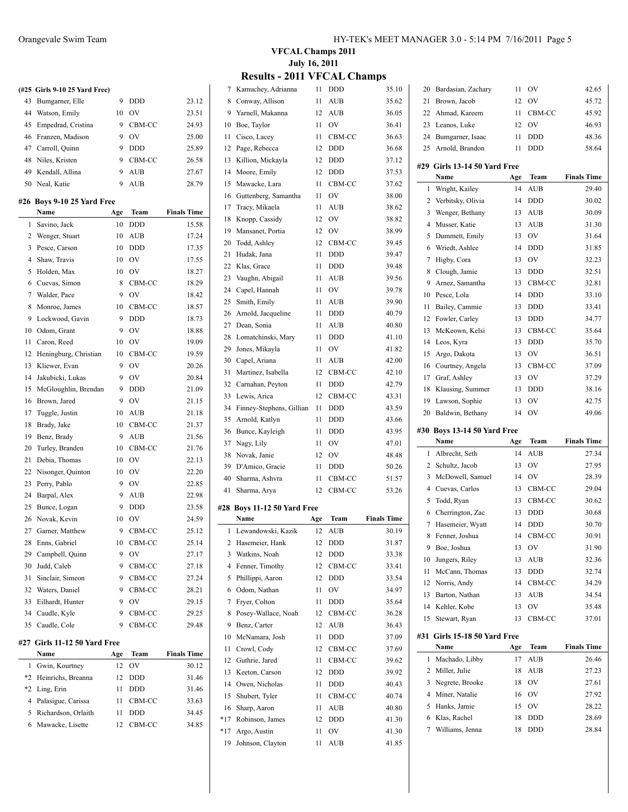|     | (#25 Girls 9-10 25 Yard Free)      |     |            |                    |
|-----|------------------------------------|-----|------------|--------------------|
| 43  | Bumgarner, Elle                    | 9   | <b>DDD</b> | 23.12              |
| 44  | Watson, Emily                      | 10  | <b>OV</b>  | 23.51              |
| 45  | Empedrad, Cristina                 | 9   | CBM-CC     | 24.93              |
| 46  | Franzen, Madison                   | 9   | OV         | 25.00              |
|     | 47 Carroll, Quinn                  | 9   | <b>DDD</b> | 25.89              |
| 48  | Niles, Kristen                     | 9   | CBM-CC     | 26.58              |
| 49  | Kendall, Allina                    | 9   | <b>AUB</b> | 27.67              |
|     | 50 Neal, Katie                     | 9   | <b>AUB</b> | 28.79              |
|     |                                    |     |            |                    |
|     | #26 Boys 9-10 25 Yard Free<br>Name | Age | Team       | <b>Finals Time</b> |
| 1   | Savino, Jack                       | 10  | <b>DDD</b> | 15.58              |
| 2   | Wenger, Stuart                     | 10  | <b>AUB</b> | 17.24              |
| 3   | Pesce, Carson                      | 10  | <b>DDD</b> | 17.35              |
| 4   | Shaw, Travis                       | 10  | <b>OV</b>  | 17.55              |
| 5   | Holden, Max                        | 10  | OV         | 18.27              |
| 6   | Cuevas, Simon                      | 8   | CBM-CC     | 18.29              |
| 7   | Walder, Pace                       | 9   | OV         | 18.42              |
| 8   | Monroe, James                      | 10  | CBM-CC     | 18.57              |
| 9   | Lockwood, Gavin                    | 9   | <b>DDD</b> | 18.73              |
|     |                                    | 9   | OV         |                    |
| 10  | Odom, Grant                        |     |            | 18.88              |
| 11  | Caron, Reed                        | 10  | <b>OV</b>  | 19.09              |
| 12  | Heningburg, Christian              | 10  | CBM-CC     | 19.59              |
| 13  | Kliewer, Evan                      | 9   | <b>OV</b>  | 20.26              |
| 14  | Jakubicki, Lukas                   | 9   | <b>OV</b>  | 20.84              |
| 15  | McGloughlin, Brendan               | 9   | <b>DDD</b> | 21.09              |
| 16  | Brown, Jared                       | 9   | <b>OV</b>  | 21.15              |
| 17  | Tuggle, Justin                     | 10  | <b>AUB</b> | 21.18              |
| 18  | Brady, Jake                        | 10  | CBM-CC     | 21.37              |
| 19  | Benz, Brady                        | 9   | <b>AUB</b> | 21.56              |
| 20  | Turley, Branden                    | 10  | CBM-CC     | 21.76              |
| 21  | Debia, Thomas                      | 10  | <b>OV</b>  | 22.13              |
| 22  | Nisonger, Quinton                  | 10  | <b>OV</b>  | 22.20              |
| 23  | Perry, Pablo                       | 9   | <b>OV</b>  | 22.85              |
| 24  | Barpal, Alex                       | 9   | AUB        | 22.98              |
| 25  | Bunce, Logan                       | 9   | <b>DDD</b> | 23.58              |
| 26  | Novak, Kevin                       | 10  | <b>OV</b>  | 24.59              |
| 27  | Garner, Matthew                    | 9   | CBM-CC     | 25.12              |
| 28  | Enns, Gabriel                      | 10  | CBM-CC     | 25.14              |
| 29  | Campbell, Quinn                    | 9   | OV         | 27.17              |
| 30  | Judd, Caleb                        | 9   | CBM-CC     | 27.18              |
| 31  | Sinclair, Simeon                   | 9   | CBM-CC     | 27.24              |
| 32  | Waters, Daniel                     | 9   | CBM-CC     | 28.21              |
| 33  | Eilhardt, Hunter                   | 9   | OV         | 29.15              |
| 34  | Caudle, Kyle                       | 9   | CBM-CC     | 29.25              |
| 35  | Caudle, Cole                       | 9   | CBM-CC     | 29.48              |
|     |                                    |     |            |                    |
| #27 | Girls 11-12 50 Yard Free<br>Name   | Age | Team       | <b>Finals Time</b> |
| 1   | Gwin, Kourtney                     | 12  | OV         | 30.12              |
| *2  | Heinrichs, Breanna                 | 12  | DDD        | 31.46              |
| *2  | Ling, Erin                         | 11  | DDD        | 31.46              |
| 4   | Palasigue, Carissa                 | 11  | CBM-CC     | 33.63              |
|     | Richardson, Orlaith                |     |            |                    |
| 5   |                                    | 11  | DDD        | 34.45              |
| 6   | Mawacke, Lisette                   | 12  | CBM-CC     | 34.85              |

### **VFCAL Champs 2011 July 16, 2011 Results - 2011 VFCAL Champs**

| 7         | Kamuchey, Adrianna               | 11       | DDD        | 35.10              |
|-----------|----------------------------------|----------|------------|--------------------|
| 8         | Conway, Allison                  | 11       | AUB        | 35.62              |
| 9         | Yarnell, Makanna                 | 12       | <b>AUB</b> | 36.05              |
| 10        | Boe, Taylor                      | 11       | OV         | 36.41              |
| 11        | Cisco, Lacey                     | 11       | CBM-CC     | 36.63              |
| 12        | Page, Rebecca                    | 12       | <b>DDD</b> | 36.68              |
| 13        | Killion, Mickayla                | 12       | <b>DDD</b> | 37.12              |
| 14        | Moore, Emily                     | 12       | <b>DDD</b> | 37.53              |
| 15        | Mawacke, Lara                    | 11       | CBM-CC     | 37.62              |
| 16        | Guttenberg, Samantha             | 11       | OV         | 38.00              |
| 17        | Tracy, Mikaela                   | 11       | <b>AUB</b> | 38.62              |
| 18        | Knopp, Cassidy                   | 12       | OV         | 38.82              |
| 19        | Mansanet, Portia                 | 12       | OV         | 38.99              |
| 20        | Todd, Ashley                     | 12       | CBM-CC     | 39.45              |
|           |                                  |          |            |                    |
| 21        | Hudak, Jana                      | 11       | <b>DDD</b> | 39.47              |
| 22        | Klas, Grace                      | 11       | <b>DDD</b> | 39.48              |
| 23        | Vaughn, Abigail                  | 11       | <b>AUB</b> | 39.56              |
| 24        | Capel, Hannah                    | 11       | OV         | 39.78              |
| 25        | Smith, Emily                     | 11       | <b>AUB</b> | 39.90              |
| 26        | Arnold, Jacqueline               | 11       | DDD        | 40.79              |
| 27        | Dean, Sonia                      | 11       | AUB        | 40.80              |
| 28        | Lomatchinski, Mary               | 11       | <b>DDD</b> | 41.10              |
| 29        | Jones, Mikayla                   | 11       | OV         | 41.82              |
| 30        | Capel, Ariana                    | 11       | <b>AUB</b> | 42.00              |
| 31        | Martinez, Isabella               | 12       | CBM-CC     | 42.10              |
| 32        | Carnahan, Peyton                 | 11       | <b>DDD</b> | 42.79              |
| 33        | Lewis, Arica                     | 12       | CBM-CC     | 43.31              |
| 34        | Finney-Stephens, Gillian         | 11       | <b>DDD</b> | 43.59              |
| 35        | Arnold, Katlyn                   | 11       | <b>DDD</b> | 43.66              |
| 36        | Bunce, Kayleigh                  | 11       | <b>DDD</b> | 43.95              |
| 37        | Nagy, Lily                       | 11       | OV         | 47.01              |
| 38        | Novak, Janie                     | 12       | OV         | 48.48              |
| 39        | D'Amico, Gracie                  | 11       | <b>DDD</b> | 50.26              |
| 40        | Sharma, Ashvra                   | 11       | CBM-CC     | 51.57              |
| 41        | Sharma, Arya                     | 12       | CBM-CC     | 53.26              |
|           |                                  |          |            |                    |
|           | #28 Boys 11-12 50 Yard Free      |          |            |                    |
|           | Name                             | Age      | Team       | <b>Finals Time</b> |
| 1         | Lewandowski, Kazik               | 12       | <b>AUB</b> | 30.19              |
|           | 2 Hasemeier, Hank                |          | 12 DDD     | 31.87              |
| 3         | Watkins, Noah                    | 12       | DDD        | 33.38              |
| 4         | Fenner, Timothy                  | 12       | CBM-CC     | 33.41              |
| 5         | Phillippi, Aaron                 | 12       | DDD        | 33.54              |
| 6         | Odom, Nathan                     | 11       | OV         | 34.97              |
| 7         | Fryer, Colton                    | 11       | DDD        | 35.64              |
| 8         | Posey-Wallace, Noah              | 12       | CBM-CC     | 36.28              |
| 9         | Benz, Carter                     | 12       | <b>AUB</b> | 36.43              |
| 10        | McNamara, Josh                   | 11       | DDD        | 37.09              |
| 11        | Crowl, Cody                      | 12       | CBM-CC     | 37.69              |
| 12        | Guthrie, Jared                   | 11       | CBM-CC     | 39.62              |
| 13        | Keeton, Carson                   | 12       | DDD        | 39.92              |
| 14        | Owen, Nicholas                   | 11       |            | 40.43              |
|           |                                  |          | DDD        |                    |
| 15        | Shubert, Tyler                   | 11       | CBM-CC     | 40.74              |
| 16        | Sharp, Aaron                     | 11       | AUB        | 40.80              |
| *17       | Robinson, James                  | 12       | DDD        | 41.30              |
|           |                                  |          |            |                    |
| *17<br>19 | Argo, Austin<br>Johnson, Clayton | 11<br>11 | OV<br>AUB  | 41.30<br>41.85     |

| 20 | Bardasian, Zachary                  | 11  | OV         | 42.65              |
|----|-------------------------------------|-----|------------|--------------------|
| 21 | Brown, Jacob                        | 12  | OV         | 45.72              |
| 22 | Ahmad, Kareem                       | 11  | CBM-CC     | 45.92              |
| 23 | Leanos, Luke                        | 12  | OV         | 46.93              |
| 24 | Bumgarner, Isaac                    | 11  | DDD        | 48.36              |
| 25 | Arnold, Brandon                     | 11  | DDD        | 58.64              |
|    |                                     |     |            |                    |
|    | #29 Girls 13-14 50 Yard Free        |     |            |                    |
|    | Name                                | Age | Team       | <b>Finals Time</b> |
| 1  | Wright, Kailey                      | 14  | AUB        | 29.40              |
| 2  | Verbitsky, Olivia                   | 14  | <b>DDD</b> | 30.02              |
| 3  | Wenger, Bethany                     | 13  | AUB        | 30.09              |
| 4  | Musser, Katie                       | 13  | <b>AUB</b> | 31.30              |
| 5  | Dummett, Emily                      | 13  | OV         | 31.64              |
| 6  | Wriedt, Ashlee                      | 14  | DDD        | 31.85              |
| 7  | Higby, Cora                         | 13  | OV         | 32.23              |
| 8  | Clough, Jamie                       | 13  | DDD        | 32.51              |
| 9  | Arnez, Samantha                     | 13  | CBM-CC     | 32.81              |
| 10 | Pesce, Lola                         | 14  | <b>DDD</b> | 33.10              |
| 11 | Bailey, Cammie                      | 13  | <b>DDD</b> | 33.41              |
| 12 | Fowler, Carley                      | 13  | <b>DDD</b> | 34.77              |
| 13 | McKeown, Kelsi                      | 13  | CBM-CC     | 35.64              |
| 14 | Leos, Kyra                          | 13  | DDD        | 35.70              |
| 15 | Argo, Dakota                        | 13  | OV         | 36.51              |
| 16 | Courtney, Angela                    | 13  | CBM-CC     | 37.09              |
| 17 | Graf, Ashley                        | 13  | OV         | 37.29              |
| 18 | Klausing, Summer                    | 13  | DDD        | 38.16              |
| 19 | Lawson, Sophie                      | 13  | OV         | 42.75              |
| 20 | Baldwin, Bethany                    | 14  | OV         | 49.06              |
|    |                                     |     |            |                    |
|    |                                     |     |            |                    |
|    | #30 Boys 13-14 50 Yard Free<br>Name | Age | Team       | <b>Finals Time</b> |
| 1  | Albrecht, Seth                      | 14  | AUB        | 27.34              |
| 2  | Schultz, Jacob                      | 13  | OV         | 27.95              |
| 3  | McDowell, Samuel                    | 14  | OV         | 28.39              |
| 4  | Cuevas, Carlos                      | 13  | CBM-CC     | 29.04              |
| 5  | Todd, Ryan                          | 13  | CBM-CC     | 30.62              |
| 6  | Cherrington, Zac                    | 13  | DDD        | 30.68              |
| 7  | Hasemeier, Wyatt                    | 14  | DDD        | 30.70              |
| 8  | Fenner, Joshua                      | 14  | CBM-CC     | 30.91              |
|    | 9 Boe, Joshua                       | 13  | OV         | 31.90              |
|    | 10 Jungers, Riley                   | 13  | AUB        | 32.36              |
| 11 | McCann, Thomas                      | 13  | DDD        | 32.74              |
|    | 12 Norris, Andy                     | 14  | CBM-CC     | 34.29              |
| 13 | Barton, Nathan                      | 13  | AUB        | 34.54              |
| 14 | Kehler, Kobe                        | 13  | OV         | 35.48              |
| 15 | Stewart, Ryan                       | 13  | CBM-CC     | 37.01              |
|    |                                     |     |            |                    |
|    | #31 Girls 15-18 50 Yard Free        |     |            |                    |
|    | Name                                | Age | Team       | <b>Finals Time</b> |
| 1  | Machado, Libby                      | 17  | AUB        | 26.46              |
| 2  | Miller, Julie                       | 18  | AUB        | 27.23              |
| 3  | Negrete, Brooke                     | 18  | OV         | 27.61              |
| 4  | Miner, Natalie                      | 16  | OV         | 27.92              |
| 5  | Hanks, Jamie                        | 15  | OV         | 28.22              |
| 6  | Klas, Rachel                        | 18  | DDD        | 28.69              |
| 7  | Williams, Jenna                     | 18  | DDD        | 28.84              |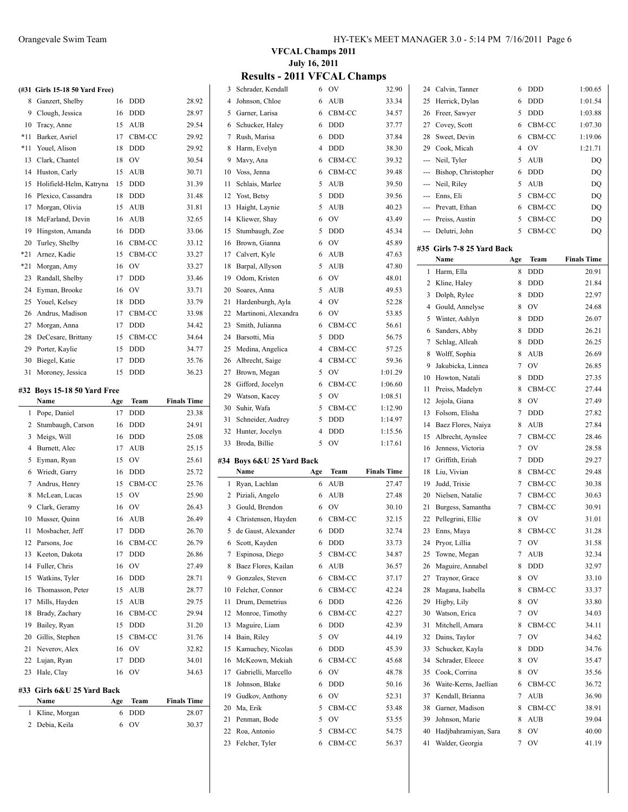| #33   | Girls 6&U 25 Yard Back<br>Name | Age | Team           | <b>Finals Time</b> |
|-------|--------------------------------|-----|----------------|--------------------|
|       |                                |     |                |                    |
|       |                                |     |                |                    |
| 23    | Hale, Clay                     | 16  | OV             | 34.63              |
| 22    | Lujan, Ryan                    | 17  | <b>DDD</b>     | 34.01              |
| 21    | Neverov, Alex                  | 16  | OV             | 32.82              |
| 20    | Gillis, Stephen                | 15  | CBM-CC         | 31.76              |
| 19    | Bailey, Ryan                   | 15  | <b>DDD</b>     | 31.20              |
| 18    | Brady, Zachary                 | 16  | CBM-CC         | 29.94              |
| 17    | Mills, Hayden                  | 15  | AUB            | 29.75              |
| 16    | Thomasson, Peter               | 15  | <b>AUB</b>     | 28.77              |
| 15    | Watkins, Tyler                 | 16  | DDD            | 28.71              |
| 14    | Fuller, Chris                  | 16  | OV             | 27.49              |
| 13    | Keeton, Dakota                 | 17  | DDD            | 26.86              |
| 12    | Parsons, Joe                   | 16  | CBM-CC         | 26.79              |
| 11    | Mosbacher, Jeff                | 17  | DDD            | 26.70              |
| 10    | Musser, Quinn                  | 16  | AUB            | 26.49              |
| 9     | Clark, Geramy                  | 16  | <b>OV</b>      | 26.43              |
| 8     | McLean, Lucas                  | 15  | <b>OV</b>      | 25.90              |
| 7     | Andrus, Henry                  | 15  | CBM-CC         | 25.76              |
| 6     | Wriedt, Garry                  | 16  | <b>DDD</b>     | 25.72              |
| 5     | Eyman, Ryan                    | 15  | OV             | 25.61              |
| 4     | Burnett, Alec                  | 17  | <b>AUB</b>     | 25.15              |
| 3     | Meigs, Will                    | 16  | <b>DDD</b>     | 25.08              |
| 2     | Stumbaugh, Carson              | 16  | <b>DDD</b>     | 24.91              |
| 1     | Pope, Daniel                   | 17  | <b>DDD</b>     | 23.38              |
|       | Name                           | Age | Team           | <b>Finals Time</b> |
|       | #32 Boys 15-18 50 Yard Free    |     |                |                    |
|       |                                |     |                |                    |
| 31    | Moroney, Jessica               | 15  | <b>DDD</b>     | 36.23              |
| 30    | Biegel, Katie                  | 17  | <b>DDD</b>     | 35.76              |
| 29    | Porter, Kaylie                 | 15  | <b>DDD</b>     | 34.77              |
| 28    | DeCesare, Brittany             | 15  | CBM-CC         | 34.64              |
| 27    | Morgan, Anna                   | 17  | <b>DDD</b>     | 34.42              |
| 26    | Andrus, Madison                | 17  | CBM-CC         | 33.98              |
| 25    | Youel, Kelsey                  | 18  | <b>DDD</b>     | 33.79              |
| 24    | Eyman, Brooke                  | 16  | O <sub>V</sub> | 33.71              |
| 23    | Randall, Shelby                | 17  | <b>DDD</b>     | 33.46              |
| $*21$ | Morgan, Amy                    | 16  | OV             | 33.27              |
| $*21$ | Arnez, Kadie                   | 15  | CBM-CC         | 33.27              |
| 20    | Turley, Shelby                 | 16  | CBM-CC         | 33.12              |
| 19    | Hingston, Amanda               | 16  | <b>DDD</b>     | 33.06              |
| 18    | McFarland, Devin               | 16  | <b>AUB</b>     | 32.65              |
| 17    | Morgan, Olivia                 | 15  | <b>AUB</b>     | 31.81              |
| 16    | Plexico, Cassandra             | 18  | <b>DDD</b>     | 31.48              |
| 15    | Holifield-Helm, Katryna        | 15  | <b>DDD</b>     | 31.39              |
| 14    | Huston, Carly                  | 15  | AUB            | 30.71              |
| 13    | Clark, Chantel                 | 18  | OV             | 30.54              |
| $*11$ | Youel, Alison                  | 18  | <b>DDD</b>     | 29.92              |
| $*11$ | Barker, Asriel                 | 17  | CBM-CC         | 29.92              |
| 10    | Tracy, Anne                    | 15  | AUB            | 29.54              |
|       | 9 Clough, Jessica              | 16  | <b>DDD</b>     | 28.97              |
| 8     | Ganzert, Shelby                | 16  | <b>DDD</b>     | 28.92              |
|       | (#31 Girls 15-18 50 Yard Free) |     |                |                    |

Debia, Keila 6 OV 30.37

## **VFCAL Champs 2011 July 16, 2011**

|  |  | <b>Results - 2011 VFCAL Champs</b> |  |
|--|--|------------------------------------|--|
|--|--|------------------------------------|--|

| 3  | Schrader, Kendall         | 6   | <b>OV</b>  | 32.90              |              | 24 Calvin, Tanner          | 6   | <b>DDD</b> | 1:00.65            |
|----|---------------------------|-----|------------|--------------------|--------------|----------------------------|-----|------------|--------------------|
| 4  | Johnson, Chloe            | 6   | <b>AUB</b> | 33.34              | 25           | Herrick, Dylan             | 6   | <b>DDD</b> | 1:01.54            |
| 5  | Garner, Larisa            | 6   | CBM-CC     | 34.57              | 26           | Freer, Sawyer              | 5   | <b>DDD</b> | 1:03.88            |
| 6  | Schucker, Haley           | 6   | <b>DDD</b> | 37.77              | 27           | Covey, Scott               | 6   | CBM-CC     | 1:07.30            |
| 7  | Rush, Marisa              | 6   | <b>DDD</b> | 37.84              | 28           | Sweet, Devin               | 6   | CBM-CC     | 1:19.06            |
| 8  | Harm, Evelyn              | 4   | <b>DDD</b> | 38.30              | 29           | Cook, Micah                | 4   | <b>OV</b>  | 1:21.71            |
| 9  | Mavy, Ana                 | 6   | CBM-CC     | 39.32              | ---          | Neil, Tyler                | 5   | <b>AUB</b> | DQ                 |
| 10 | Voss, Jenna               | 6   | CBM-CC     | 39.48              | ---          | Bishop, Christopher        | 6   | <b>DDD</b> | DQ                 |
| 11 | Schlais, Marlee           | 5   | AUB        | 39.50              | ---          | Neil, Riley                | 5   | <b>AUB</b> | DQ                 |
| 12 | Yost, Betsy               | 5   | DDD        | 39.56              | ---          | Enns, Eli                  | 5   | CBM-CC     | DQ                 |
| 13 | Haight, Laynie            | 5   | <b>AUB</b> | 40.23              |              | Prevatt, Ethan             | 6   | CBM-CC     | DQ                 |
| 14 | Kliewer, Shav             | 6   | <b>OV</b>  | 43.49              | ---          | Preiss, Austin             | 5   | CBM-CC     | DQ                 |
| 15 | Stumbaugh, Zoe            | 5   | <b>DDD</b> | 45.34              |              | Delutri, John              | 5   | CBM-CC     | DQ                 |
| 16 | Brown, Gianna             | 6   | <b>OV</b>  | 45.89              |              |                            |     |            |                    |
| 17 | Calvert, Kyle             | 6   | AUB        | 47.63              |              | #35 Girls 7-8 25 Yard Back |     |            |                    |
| 18 | Barpal, Allyson           | 5   | AUB        | 47.80              |              | Name                       | Age | Team       | <b>Finals Time</b> |
| 19 | Odom, Kristen             | 6   | <b>OV</b>  |                    | $\mathbf{1}$ | Harm, Ella                 | 8   | <b>DDD</b> | 20.91              |
|    |                           |     |            | 48.01              | 2            | Kline, Haley               | 8   | <b>DDD</b> | 21.84              |
| 20 | Soares, Anna              | 5   | AUB        | 49.53              | 3            | Dolph, Rylee               | 8   | <b>DDD</b> | 22.97              |
| 21 | Hardenburgh, Ayla         | 4   | <b>OV</b>  | 52.28              | 4            | Gould, Annelyse            | 8   | <b>OV</b>  | 24.68              |
| 22 | Martinoni, Alexandra      | 6   | - OV       | 53.85              | 5            | Winter, Ashlyn             | 8   | <b>DDD</b> | 26.07              |
| 23 | Smith, Julianna           | 6   | CBM-CC     | 56.61              | 6            | Sanders, Abby              | 8   | <b>DDD</b> | 26.21              |
| 24 | Barsotti, Mia             | 5   | DDD        | 56.75              | 7            | Schlag, Alleah             | 8   | <b>DDD</b> | 26.25              |
| 25 | Medina, Angelica          | 4   | CBM-CC     | 57.25              | 8            | Wolff, Sophia              | 8   | <b>AUB</b> | 26.69              |
| 26 | Albrecht, Saige           | 4   | CBM-CC     | 59.36              | 9            | Jakubicka, Linnea          | 7   | <b>OV</b>  | 26.85              |
| 27 | Brown, Megan              | 5   | <b>OV</b>  | 1:01.29            | 10           | Howton, Natali             | 8   | <b>DDD</b> | 27.35              |
| 28 | Gifford, Jocelyn          | 6   | CBM-CC     | 1:06.60            | 11           | Preiss, Madelyn            | 8   | CBM-CC     | 27.44              |
| 29 | Watson, Kacey             | 5   | OV         | 1:08.51            | 12           | Jojola, Giana              | 8   | <b>OV</b>  | 27.49              |
| 30 | Suhir, Wafa               | 5   | CBM-CC     | 1:12.90            |              | Folsom, Elisha             |     | <b>DDD</b> |                    |
| 31 | Schneider, Audrey         | 5   | <b>DDD</b> | 1:14.97            | 13           |                            | 7   |            | 27.82              |
| 32 | Hunter, Jocelyn           | 4   | <b>DDD</b> | 1:15.56            | 14           | Baez Flores, Naiya         | 8   | <b>AUB</b> | 27.84              |
| 33 | Broda, Billie             | 5   | <b>OV</b>  | 1:17.61            | 15           | Albrecht, Aynslee          | 7   | CBM-CC     | 28.46              |
|    |                           |     |            |                    | 16           | Jenness, Victoria          | 7   | OV         | 28.58              |
|    | #34 Boys 6&U 25 Yard Back |     |            |                    | 17           | Griffith, Eriah            | 7   | <b>DDD</b> | 29.27              |
|    | Name                      | Age | Team       | <b>Finals Time</b> | 18           | Liu, Vivian                | 8   | CBM-CC     | 29.48              |
|    | 1 Ryan, Lachlan           | 6   | <b>AUB</b> | 27.47              | 19           | Judd, Trixie               | 7   | CBM-CC     | 30.38              |
|    | 2 Piziali, Angelo         | 6   | <b>AUB</b> | 27.48              | 20           | Nielsen, Natalie           | 7   | CBM-CC     | 30.63              |
| 3  | Gould, Brendon            | 6   | <b>OV</b>  | 30.10              | 21           | Burgess, Samantha          | 7   | CBM-CC     | 30.91              |
| 4  | Christensen, Hayden       | 6   | CBM-CC     | 32.15              | 22           | Pellegrini, Ellie          | 8   | <b>OV</b>  | 31.01              |
| 5  | de Gaust, Alexander       | 6   | DDD        | 32.74              |              | 23 Enns, Maya              | 8   | CBM-CC     | 31.28              |
|    | 6 Scott, Kayden           | 6   | DDD        | 33.73              |              | 24 Pryor, Lillia           | 7   | OV         | 31.58              |
|    | 7 Espinosa, Diego         | 5   | CBM-CC     | 34.87              | 25           | Towne, Megan               | 7   | AUB        | 32.34              |
| 8  | Baez Flores, Kailan       | 6   | AUB        | 36.57              | 26           | Maguire, Annabel           | 8   | <b>DDD</b> | 32.97              |
| 9  | Gonzales, Steven          | 6   | CBM-CC     | 37.17              | 27           | Traynor, Grace             | 8   | OV         | 33.10              |
|    | 10 Felcher, Connor        | 6   | CBM-CC     | 42.24              | 28           | Magana, Isabella           | 8   | CBM-CC     | 33.37              |
| 11 | Drum, Demetrius           | 6   | <b>DDD</b> | 42.26              | 29           | Higby, Lily                | 8   | OV         | 33.80              |
| 12 | Monroe, Timothy           | 6   | CBM-CC     | 42.27              | 30           | Watson, Erica              | 7   | OV         | 34.03              |
| 13 | Maguire, Liam             | 6   | <b>DDD</b> | 42.39              | 31           | Mitchell, Amara            | 8   | CBM-CC     | 34.11              |
| 14 | Bain, Riley               | 5   | <b>OV</b>  | 44.19              | 32           | Dains, Taylor              | 7   | OV         | 34.62              |
| 15 | Kamuchey, Nicolas         | 6   | <b>DDD</b> | 45.39              | 33           | Schucker, Kayla            | 8   | <b>DDD</b> | 34.76              |
| 16 | McKeown, Mekiah           |     | CBM-CC     | 45.68              | 34           | Schrader, Eleece           | 8   | OV         | 35.47              |
| 17 | Gabrielli, Marcello       | 6   | <b>OV</b>  | 48.78              |              | Cook, Corrina              | 8   | OV         |                    |
|    |                           | 6   |            |                    | 35           |                            |     |            | 35.56              |
| 18 | Johnson, Blake            | 6   | <b>DDD</b> | 50.16              | 36           | Waite-Kerns, Jaellian      | 6   | CBM-CC     | 36.72              |
| 19 | Gudkov, Anthony           | 6   | OV         | 52.31              | 37           | Kendall, Brianna           | 7   | AUB        | 36.90              |
| 20 | Ma, Erik                  | 5   | CBM-CC     | 53.48              | 38           | Garner, Madison            | 8   | CBM-CC     | 38.91              |
| 21 | Penman, Bode              | 5   | OV         | 53.55              | 39           | Johnson, Marie             | 8   | AUB        | 39.04              |
| 22 | Roa, Antonio              | 5   | CBM-CC     | 54.75              | 40           | Hadjbahramiyan, Sara       | 8   | OV         | 40.00              |
|    | 23 Felcher, Tyler         | 6   | CBM-CC     | 56.37              | 41           | Walder, Georgia            | 7   | <b>OV</b>  | 41.19              |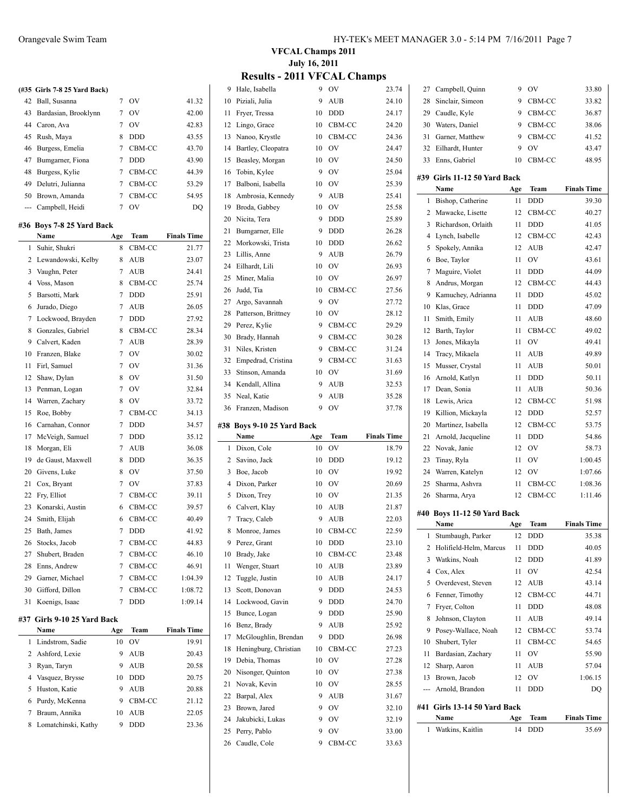|     | (#35 Girls 7-8 25 Yard Back) |                 |                  |                    |
|-----|------------------------------|-----------------|------------------|--------------------|
| 42  | Ball, Susanna                | $7\phantom{.0}$ | OV               | 41.32              |
| 43  | Bardasian, Brooklynn         | $7\phantom{.0}$ | <b>OV</b>        | 42.00              |
|     | 44 Caron, Ava                | $7\overline{ }$ | <b>OV</b>        | 42.83              |
| 45  | Rush, Maya                   | 8               | <b>DDD</b>       | 43.55              |
| 46  | Burgess, Emelia              | 7               | CBM-CC           | 43.70              |
| 47  | Bumgarner, Fiona             | 7               | <b>DDD</b>       | 43.90              |
| 48  | Burgess, Kylie               | 7               | CBM-CC           | 44.39              |
| 49  | Delutri, Julianna            | 7               | CBM-CC           | 53.29              |
| 50  | Brown, Amanda                | 7               | CBM-CC           | 54.95              |
|     | --- Campbell, Heidi          | 7               | <b>OV</b>        | DQ                 |
|     | #36 Boys 7-8 25 Yard Back    |                 |                  |                    |
|     | Name                         | Age             | Team             | <b>Finals Time</b> |
| 1   | Suhir, Shukri                | 8               | CBM-CC           | 21.77              |
|     | 2 Lewandowski, Kelby         | 8               | AUB              | 23.07              |
|     | 3 Vaughn, Peter              | 7               | AUB              | 24.41              |
|     | 4 Voss, Mason                | 8               | CBM-CC           | 25.74              |
| 5   | Barsotti, Mark               | 7               | <b>DDD</b>       | 25.91              |
| 6   | Jurado, Diego                | 7               | AUB              | 26.05              |
| 7   | Lockwood, Brayden            | 7               | <b>DDD</b>       | 27.92              |
| 8   | Gonzales, Gabriel            | 8               | CBM-CC           | 28.34              |
|     | 9 Calvert, Kaden             | 7               |                  | 28.39              |
|     |                              | $\overline{7}$  | AUB<br><b>OV</b> |                    |
| 10  | Franzen, Blake               |                 |                  | 30.02              |
| 11  | Firl, Samuel                 | $7\phantom{.0}$ | <b>OV</b>        | 31.36              |
| 12  | Shaw, Dylan                  | 8               | <b>OV</b>        | 31.50              |
| 13  | Penman, Logan                | $7\phantom{.0}$ | <b>OV</b>        | 32.84              |
| 14  | Warren, Zachary              | 8               | OV               | 33.72              |
| 15  | Roe, Bobby                   | 7               | CBM-CC           | 34.13              |
| 16  | Carnahan, Connor             | 7               | DDD              | 34.57              |
| 17  | McVeigh, Samuel              | 7               | DDD              | 35.12              |
| 18  | Morgan, Eli                  | 7               | AUB              | 36.08              |
| 19  | de Gaust, Maxwell            | 8               | DDD              | 36.35              |
| 20  | Givens, Luke                 | 8               | OV               | 37.50              |
| 21  | Cox, Bryant                  | 7               | <b>OV</b>        | 37.83              |
| 22  | Fry, Elliot                  | $7\phantom{.0}$ | CBM-CC           | 39.11              |
| 23  | Konarski, Austin             | 6               | CBM-CC           | 39.57              |
| 24  | Smith, Elijah                | 6               | CBM-CC           | 40.49              |
| 25  | Bath, James                  | 7               | DDD              | 41.92              |
| 26  | Stocks, Jacob                | 7               | CBM-CC           | 44.83              |
| 27  | Shubert, Braden              | 7               | CBM-CC           | 46.10              |
| 28  | Enns, Andrew                 | 7               | CBM-CC           | 46.91              |
| 29  | Garner, Michael              | 7               | CBM-CC           | 1:04.39            |
| 30  | Gifford, Dillon              | 7               | CBM-CC           | 1:08.72            |
| 31  | Koenigs, Isaac               | 7               | DDD              | 1:09.14            |
| #37 | Girls 9-10 25 Yard Back      |                 |                  |                    |
|     | Name                         | Age             | Team             | <b>Finals Time</b> |
| 1   | Lindstrom, Sadie             | 10              | OV               | 19.91              |
| 2   | Ashford, Lexie               | 9               | AUB              | 20.43              |
| 3   | Ryan, Taryn                  | 9               | AUB              | 20.58              |
| 4   | Vasquez, Brysse              | 10              | DDD              | 20.75              |
| 5   | Huston, Katie                | 9               | AUB              | 20.88              |
| 6   | Purdy, McKenna               | 9               | CBM-CC           | 21.12              |

 Braum, Annika 10 AUB 22.05 Lomatchinski, Kathy 9 DDD 23.36

### **VFCAL Champs 2011 July 16, 2011 Results - 2011 VFCAL Champs**

| 9.           | Hale, Isabella               | 9      | OV           | 23.74              | 27           | Campbel         |
|--------------|------------------------------|--------|--------------|--------------------|--------------|-----------------|
| 10           | Piziali, Julia               | 9      | <b>AUB</b>   | 24.10              | 28           | Sinclair, :     |
| 11           | Fryer, Tressa                | 10     | <b>DDD</b>   | 24.17              | 29           | Caudle, F       |
| 12           | Lingo, Grace                 | 10     | CBM-CC       | 24.20              | 30           | Waters, L       |
| 13           | Nanoo, Krystle               | 10     | CBM-CC       | 24.36              | 31           | Garner, N       |
| 14           | Bartley, Cleopatra           | 10     | OV           | 24.47              | 32           | Eilhardt,       |
| 15           | Beasley, Morgan              | 10     | OV           | 24.50              | 33           | Enns, Ga        |
| 16           | Tobin, Kylee                 | 9      | OV           | 25.04              |              |                 |
| 17           | Balboni, Isabella            | 10     | OV           | 25.39              |              | #39 Girls 11-   |
| 18           | Ambrosia, Kennedy            | 9      | AUB          | 25.41              |              | Name            |
| 19           | Broda, Gabbey                | 10     | OV           | 25.58              | 1            | Bishop, C       |
| 20           | Nicita, Tera                 | 9      | <b>DDD</b>   | 25.89              | $\mathbf{2}$ | Mawacke         |
| 21           | Bumgarner, Elle              | 9      | <b>DDD</b>   | 26.28              | 3            | Richards        |
| 22           | Morkowski, Trista            | 10     | <b>DDD</b>   | 26.62              | 4            | Lynch, Is       |
| 23           | Lillis, Anne                 | 9      | AUB          | 26.79              | 5            | Spokely,        |
| 24           | Eilhardt, Lili               | 10     | OV           | 26.93              | 6            | Boe, Tayl       |
| 25           | Miner, Malia                 | 10     | OV           | 26.97              | 7            | Maguire,        |
| 26           | Judd, Tia                    | 10     | CBM-CC       | 27.56              | 8            | Andrus, I       |
| 27           | Argo, Savannah               | 9      | OV           | 27.72              | 9            | Kamuche         |
| 28           | Patterson, Brittney          | 10     | OV           | 28.12              | 10           | Klas, Gra       |
| 29           | Perez, Kylie                 | 9      | CBM-CC       | 29.29              | 11           | Smith, Ei       |
| 30           | Brady, Hannah                | 9      | CBM-CC       | 30.28              | 12           | Barth, Ta       |
| 31           | Niles, Kristen               | 9      | CBM-CC       | 31.24              | 13           | Jones, M        |
| 32           | Empedrad, Cristina           | 9      | CBM-CC       | 31.63              | 14           | Tracy, M        |
| 33           | Stinson, Amanda              | 10     | OV           | 31.69              | 15           | Musser, O       |
| 34           | Kendall, Allina              | 9      | AUB          | 32.53              | 16           | Arnold, F       |
| 35           | Neal, Katie                  | 9      | AUB          | 35.28              | 17           | Dean, So        |
| 36           | Franzen, Madison             | 9      | OV           | 37.78              | 18           | Lewis, A        |
|              |                              |        |              |                    |              |                 |
|              |                              |        |              |                    | 19           | Killion, N      |
|              | #38 Boys 9-10 25 Yard Back   |        |              |                    | 20           | <b>Martinez</b> |
|              | Name                         | Age    | Team         | <b>Finals Time</b> | 21           | Arnold, J       |
| $\mathbf{1}$ | Dixon, Cole                  | 10     | OV           | 18.79              | 22           | Novak, Ja       |
| 2            | Savino, Jack                 | 10     | <b>DDD</b>   | 19.12              | 23           | Tinay, Ry       |
| 3            | Boe, Jacob                   | 10     | OV           | 19.92              | 24           | Warren, I       |
| 4            | Dixon, Parker                | 10     | OV           | 20.69              | 25           | Sharma,         |
| 5            | Dixon, Trey                  | 10     | OV           | 21.35              | 26           | Sharma, 4       |
| 6            | Calvert, Klay                | 10     | AUB          | 21.87              |              | #40 Boys 11-    |
| 7            | Tracy, Caleb                 | 9      | AUB          | 22.03              |              | Name            |
| 8            | Monroe, James                | 10     | CBM-CC       | 22.59              | 1            | Stumbau         |
| 9            | Perez, Grant                 | 10     | DDD          | 23.10              | 2            | Holifield       |
| 10           | Brady, Jake                  | 10     | CBM-CC       | 23.48              | 3            | Watkins,        |
| 11           | Wenger, Stuart               | 10     | AUB          | 23.89              | 4            | Cox, Ale:       |
| 12           | Tuggle, Justin               | 10     | AUB          | 24.17              | 5            | Overdeve        |
| 13           | Scott, Donovan               | 9      | <b>DDD</b>   | 24.53              | 6            | Fenner, T       |
| 14           | Lockwood, Gavin              | 9      | DDD          | 24.70              | 7            | Fryer, Co       |
| 15           | Bunce, Logan                 | 9      | DDD          | 25.90              | 8            | Johnson,        |
| 16           | Benz, Brady                  | 9      | AUB          | 25.92              | 9            | Posey-Wa        |
| 17           | McGloughlin, Brendan         | 9      | DDD          | 26.98              | 10           | Shubert,        |
| 18           | Heningburg, Christian        | 10     | CBM-CC       | 27.23              | 11           | Bardasia        |
| 19           | Debia, Thomas                | 10     | OV           | 27.28              | 12           | Sharp, Aa       |
| 20           | Nisonger, Quinton            | 10     | OV           | 27.38              | 13           | Brown, J.       |
| 21           | Novak, Kevin                 | 10     | OV           | 28.55              | ---          | Arnold, E       |
| 22           | Barpal, Alex                 | 9      | <b>AUB</b>   | 31.67              |              |                 |
| 23           | Brown, Jared                 | 9      | OV           | 32.10              |              | #41 Girls 13    |
| 24           | Jakubicki, Lukas             | 9      | OV           | 32.19              |              | Name            |
| 25           | Perry, Pablo<br>Caudle, Cole | 9<br>9 | OV<br>CBM-CC | 33.00              | 1            | Watkins,        |

| 27  | Campbell, Quinn                      | 9   | OV         | 33.80              |
|-----|--------------------------------------|-----|------------|--------------------|
| 28  | Sinclair, Simeon                     | 9   | CBM-CC     | 33.82              |
| 29  | Caudle, Kyle                         | 9   | CBM-CC     | 36.87              |
| 30  | Waters, Daniel                       | 9   | CBM-CC     | 38.06              |
| 31  | Garner, Matthew                      | 9   | CBM-CC     | 41.52              |
| 32  | Eilhardt, Hunter                     | 9   | OV         | 43.47              |
| 33  | Enns, Gabriel                        | 10  | CBM-CC     | 48.95              |
|     |                                      |     |            |                    |
|     | #39 Girls 11-12 50 Yard Back<br>Name | Age | Team       | <b>Finals Time</b> |
| 1   | Bishop, Catherine                    | 11  | DDD        | 39.30              |
| 2   | Mawacke, Lisette                     | 12  | CBM-CC     | 40.27              |
| 3   | Richardson, Orlaith                  | 11  | <b>DDD</b> | 41.05              |
| 4   | Lynch, Isabelle                      | 12  | CBM-CC     | 42.43              |
| 5   | Spokely, Annika                      | 12  | <b>AUB</b> | 42.47              |
| 6   | Boe, Taylor                          | 11  | OV         | 43.61              |
|     |                                      |     |            |                    |
| 7   | Maguire, Violet                      | 11  | <b>DDD</b> | 44.09              |
| 8   | Andrus, Morgan                       | 12  | CBM-CC     | 44.43              |
| 9   | Kamuchey, Adrianna                   | 11  | <b>DDD</b> | 45.02              |
| 10  | Klas, Grace                          | 11  | <b>DDD</b> | 47.09              |
| 11  | Smith, Emily                         | 11  | <b>AUB</b> | 48.60              |
| 12  | Barth, Taylor                        | 11  | CBM-CC     | 49.02              |
| 13  | Jones, Mikayla                       | 11  | OV         | 49.41              |
| 14  | Tracy, Mikaela                       | 11  | AUB        | 49.89              |
| 15  | Musser, Crystal                      | 11  | <b>AUB</b> | 50.01              |
| 16  | Arnold, Katlyn                       | 11  | <b>DDD</b> | 50.11              |
| 17  | Dean, Sonia                          | 11  | AUB        | 50.36              |
| 18  | Lewis, Arica                         | 12  | CBM-CC     | 51.98              |
| 19  | Killion, Mickayla                    | 12  | <b>DDD</b> | 52.57              |
| 20  | Martinez, Isabella                   | 12  | CBM-CC     | 53.75              |
| 21  | Arnold, Jacqueline                   | 11  | DDD        | 54.86              |
| 22  | Novak, Janie                         | 12  | OV         | 58.73              |
| 23  | Tinay, Ryla                          | 11  | OV         | 1:00.45            |
| 24  | Warren, Katelyn                      | 12  | OV         | 1:07.66            |
| 25  | Sharma, Ashvra                       | 11  | CBM-CC     | 1:08.36            |
| 26  | Sharma, Arya                         | 12  | CBM-CC     | 1:11.46            |
|     | #40 Boys 11-12 50 Yard Back          |     |            |                    |
|     | Name                                 | Age | Team       | <b>Finals Time</b> |
| 1   | Stumbaugh, Parker                    | 12  | DDD        | 35.38              |
| 2   | Holifield-Helm, Marcus               | 11  | DDD        | 40.05              |
| 3   | Watkins, Noah                        | 12  | DDD        | 41.89              |
| 4   | Cox, Alex                            | 11  | OV         | 42.54              |
| 5   | Overdevest, Steven                   | 12  | AUB        | 43.14              |
| 6   | Fenner, Timothy                      | 12  | CBM-CC     | 44.71              |
| 7   | Fryer, Colton                        | 11  | DDD        | 48.08              |
| 8   | Johnson, Clayton                     | 11  | <b>AUB</b> | 49.14              |
| 9   | Posey-Wallace, Noah                  | 12  | CBM-CC     | 53.74              |
| 10  | Shubert, Tyler                       | 11  | CBM-CC     | 54.65              |
| 11  | Bardasian, Zachary                   | 11  | OV         | 55.90              |
| 12  | Sharp, Aaron                         | 11  | <b>AUB</b> | 57.04              |
| 13  | Brown, Jacob                         | 12  | OV         | 1:06.15            |
| --- | Arnold, Brandon                      | 11  | DDD        | DQ                 |
|     |                                      |     |            |                    |
|     | #41 Girls 13-14 50 Yard Back         |     |            |                    |
|     | Name                                 | Age | Team       | <b>Finals Time</b> |
| 1   | Watkins, Kaitlin                     | 14  | DDD        | 35.69              |
|     |                                      |     |            |                    |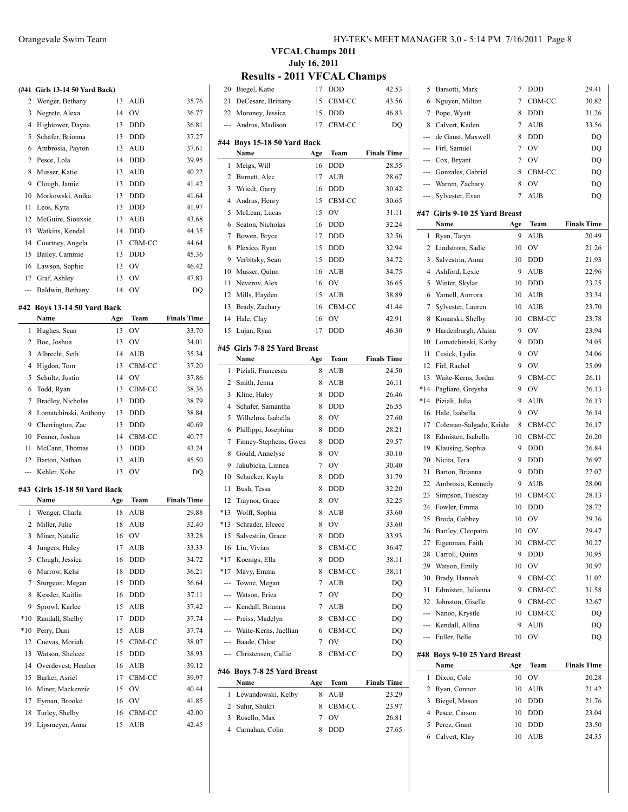### **(#41 Girls 13-14 50 Yard Back)**

| 77 L           | UILIS 19-14 90 TALU DAVNI |    |            |       |
|----------------|---------------------------|----|------------|-------|
| 2              | Wenger, Bethany           | 13 | <b>AUB</b> | 35.76 |
| 3              | Negrete, Alexa            | 14 | OV         | 36.77 |
| 4              | Hightower, Dayna          | 13 | <b>DDD</b> | 36.81 |
| 5              | Schafer, Brionna          | 13 | <b>DDD</b> | 37.27 |
| 6              | Ambrosia, Payton          | 13 | <b>AUB</b> | 37.61 |
| 7              | Pesce, Lola               | 14 | <b>DDD</b> | 39.95 |
| 8              | Musser, Katie             | 13 | <b>AUB</b> | 40.22 |
| 9              | Clough, Jamie             | 13 | <b>DDD</b> | 41.42 |
| 10             | Morkowski, Anika          | 13 | <b>DDD</b> | 41.64 |
| 11             | Leos, Kyra                | 13 | <b>DDD</b> | 41.97 |
| 12             | McGuire, Siouxsie         | 13 | AUB        | 43.68 |
| 13             | Watkins, Kendal           | 14 | <b>DDD</b> | 44.35 |
| 14             | Courtney, Angela          | 13 | CBM-CC     | 44.64 |
| 15             | Bailey, Cammie            | 13 | <b>DDD</b> | 45.36 |
| 16             | Lawson, Sophie            | 13 | OV         | 46.42 |
| 17             | Graf, Ashley              | 13 | OV         | 47.83 |
| $\overline{a}$ | Baldwin, Bethany          | 14 | OV         | DQ    |

# **#42 Boys 13-14 50 Yard Back**

|                | Name                     | Age | Team           | <b>Finals Time</b> |
|----------------|--------------------------|-----|----------------|--------------------|
| 1              | Hughes, Sean             | 13  | OV             | 33.70              |
| $\overline{c}$ | Boe, Joshua              | 13  | OV             | 34.01              |
| 3              | Albrecht, Seth           | 14  | <b>AUB</b>     | 35.34              |
| 4              | Higdon, Tom              | 13  | CBM-CC         | 37.20              |
| 5              | Schultz, Justin          | 14  | OV             | 37.86              |
| 6              | Todd, Ryan               | 13  | CBM-CC         | 38.36              |
| 7              | Bradley, Nicholas        | 13  | <b>DDD</b>     | 38.79              |
| 8              | Lomatchinski, Anthony    | 13  | <b>DDD</b>     | 38.84              |
| 9              | Cherrington, Zac         | 13  | <b>DDD</b>     | 40.69              |
| 10             | Fenner, Joshua           | 14  | CBM-CC         | 40.77              |
| 11             | McCann, Thomas           | 13  | <b>DDD</b>     | 43.24              |
| 12             | Barton, Nathan           | 13  | <b>AUB</b>     | 45.50              |
| ---            | Kehler, Kobe             | 13  | OV             | DQ                 |
| #43            | Girls 15-18 50 Yard Back |     |                |                    |
|                | Name                     | Age | Team           | <b>Finals Time</b> |
| 1              | Wenger, Charla           | 18  | AUB            | 29.88              |
| 2              | Miller, Julie            | 18  | <b>AUB</b>     | 32.40              |
| 3              | Miner, Natalie           | 16  | OV             | 33.28              |
| 4              | Jungers, Haley           | 17  | AUB            | 33.33              |
| 5              | Clough, Jessica          | 16  | <b>DDD</b>     | 34.72              |
| 6              | Murrow, Kelsi            | 18  | <b>DDD</b>     | 36.21              |
| 7              | Sturgeon, Megan          | 15  | DDD            | 36.64              |
| 8              | Kessler, Kaitlin         | 16  | <b>DDD</b>     | 37.11              |
| 9              | Sprowl, Karlee           | 15  | <b>AUB</b>     | 37.42              |
| $*10$          | Randall, Shelby          | 17  | <b>DDD</b>     | 37.74              |
| $*10$          | Perry, Dani              | 15  | <b>AUB</b>     | 37.74              |
| 12             | Cuevas, Moriah           | 15  | CBM-CC         | 38.07              |
| 13             | Watson, Shelcee          | 15  | <b>DDD</b>     | 38.93              |
| 14             | Overdevest, Heather      | 16  | AUB            | 39.12              |
| 15             | Barker, Asriel           | 17  | CBM-CC         | 39.97              |
| 16             | Miner, Mackenzie         | 15  | O <sub>V</sub> | 40.44              |
| 17             | Eyman, Brooke            | 16  | <b>OV</b>      | 41.85              |
| 18             | Turley, Shelby           | 16  | CBM-CC         | 42.00              |
| 19             | Lipsmeyer, Anna          | 15  | AUB            | 42.45              |

 $\overline{a}$ 

 $\overline{a}$ 

## **VFCAL Champs 2011 July 16, 2011**

## **Results - 2011 VFCAL Champs**

| 20    | Biegel, Katie                | 17  | DDD        | 42.53              |  |  |  |
|-------|------------------------------|-----|------------|--------------------|--|--|--|
| 21    | DeCesare, Brittany           | 15  | CBM-CC     | 43.56              |  |  |  |
| 22    | Moroney, Jessica             | 15  | <b>DDD</b> | 46.83              |  |  |  |
| ---   | Andrus, Madison              | 17  | CBM-CC     | DQ                 |  |  |  |
|       |                              |     |            |                    |  |  |  |
|       | #44 Boys 15-18 50 Yard Back  |     |            |                    |  |  |  |
|       | Name                         | Age | Team       | <b>Finals Time</b> |  |  |  |
| 1     | Meigs, Will                  | 16  | DDD        | 28.55              |  |  |  |
| 2     | Burnett, Alec                | 17  | <b>AUB</b> | 28.67              |  |  |  |
| 3     | Wriedt, Garry                | 16  | <b>DDD</b> | 30.42              |  |  |  |
| 4     | Andrus, Henry                | 15  | CBM-CC     | 30.65              |  |  |  |
| 5     | McLean, Lucas                | 15  | OV         | 31.11              |  |  |  |
| 6     | Seaton, Nicholas             | 16  | <b>DDD</b> | 32.24              |  |  |  |
| 7     | Bowen, Bryce                 | 17  | <b>DDD</b> | 32.56              |  |  |  |
| 8     | Plexico, Ryan                | 15  | <b>DDD</b> | 32.94              |  |  |  |
| 9     | Verbitsky, Sean              | 15  | <b>DDD</b> | 34.72              |  |  |  |
| 10    | Musser, Quinn                | 16  | <b>AUB</b> | 34.75              |  |  |  |
| 11    | Neverov, Alex                | 16  | OV         | 36.65              |  |  |  |
| 12    | Mills, Hayden                | 15  | AUB        | 38.89              |  |  |  |
| 13    | Brady, Zachary               | 16  | CBM-CC     | 41.44              |  |  |  |
| 14    | Hale, Clay                   | 16  | OV         | 42.91              |  |  |  |
| 15    | Lujan, Ryan                  | 17  | DDD        | 46.30              |  |  |  |
| #45   | Girls 7-8 25 Yard Breast     |     |            |                    |  |  |  |
|       | Name                         | Age | Team       | <b>Finals Time</b> |  |  |  |
| 1     | Piziali, Francesca           | 8   | <b>AUB</b> | 24.50              |  |  |  |
| 2     | Smith, Jenna                 | 8   | AUB        | 26.11              |  |  |  |
| 3     | Kline, Haley                 | 8   | <b>DDD</b> | 26.46              |  |  |  |
| 4     | Schafer, Samantha            | 8   | <b>DDD</b> | 26.55              |  |  |  |
| 5     | Wilhelms, Isabella           | 8   | OV         | 27.60              |  |  |  |
| 6     | Phillippi, Josephina         | 8   | <b>DDD</b> | 28.21              |  |  |  |
| 7     | Finney-Stephens, Gwen        | 8   | <b>DDD</b> | 29.57              |  |  |  |
| 8     | Gould, Annelyse              | 8   | OV         | 30.10              |  |  |  |
| 9     | Jakubicka, Linnea            | 7   | OV         | 30.40              |  |  |  |
| 10    | Schucker, Kayla              | 8   | <b>DDD</b> | 31.79              |  |  |  |
| 11    | Bush, Tessa                  | 8   | <b>DDD</b> | 32.20              |  |  |  |
| 12    | Traynor, Grace               | 8   | OV         | 32.25              |  |  |  |
| *13   | Wolff, Sophia                | 8   | AUB        | 33.60              |  |  |  |
| *13   | Schrader, Eleece             | 8   | OV         | 33.60              |  |  |  |
| 15    | Salvestrin, Grace            | 8   | <b>DDD</b> | 33.93              |  |  |  |
| 16    | Liu, Vivian                  | 8   | CBM-CC     | 36.47              |  |  |  |
| $*17$ | Koenigs, Ella                | 8   | DDD        | 38.11              |  |  |  |
| $*17$ | Mavy, Emma                   | 8   | CBM-CC     | 38.11              |  |  |  |
| ---   | Towne, Megan                 | 7   | <b>AUB</b> | DQ                 |  |  |  |
| ---   | Watson, Erica                | 7   | OV         | DQ                 |  |  |  |
|       | --- Kendall, Brianna         | 7   | <b>AUB</b> | DQ                 |  |  |  |
|       | --- Preiss, Madelyn          | 8   | CBM-CC     | DQ                 |  |  |  |
| ---   | Waite-Kerns, Jaellian        | 6   | CBM-CC     | DQ                 |  |  |  |
| ---   | Baade, Chloe                 | 7   | OV         | DQ                 |  |  |  |
| ---   | Christensen, Callie          | 8   | CBM-CC     | DQ                 |  |  |  |
|       | #46  Boys 7-8 25 Yard Breast |     |            |                    |  |  |  |
|       | Name                         | Age | Team       | <b>Finals Time</b> |  |  |  |
| 1     | Lewandowski, Kelby           | 8   | AUB        | 23.29              |  |  |  |
| 2     | Suhir, Shukri                | 8   | CBM-CC     | 23.97              |  |  |  |
| 3     | Rosello, Max                 | 7   | OV         | 26.81              |  |  |  |
| 4     | Carnahan, Colin              | 8   | DDD        | 27.65              |  |  |  |
|       |                              |     |            |                    |  |  |  |

| 6     | Nguyen, Milton                       | 7   | CBM-CC     | 30.82              |
|-------|--------------------------------------|-----|------------|--------------------|
| 7     | Pope, Wyatt                          | 8   | <b>DDD</b> | 31.26              |
| 8     | Calvert, Kaden                       | 7   | <b>AUB</b> | 33.56              |
| ---   | de Gaust, Maxwell                    | 8   | <b>DDD</b> | DQ                 |
| ---   | Firl, Samuel                         | 7   | OV         | DO                 |
|       | --- Cox, Bryant                      | 7   | OV         | DQ                 |
|       | --- Gonzales, Gabriel                | 8   | CBM-CC     | DQ                 |
|       | --- Warren, Zachary                  | 8   | OV         | DQ                 |
| ---   | Sylvester, Evan                      | 7   | <b>AUB</b> | DQ                 |
| #47   | Girls 9-10 25 Yard Breast            |     |            |                    |
|       | Name                                 | Age | Team       | <b>Finals Time</b> |
| 1     | Ryan, Taryn                          | 9   | <b>AUB</b> | 20.49              |
| 2     | Lindstrom, Sadie                     | 10  | OV         | 21.26              |
| 3     | Salvestrin, Anna                     | 10  | DDD        | 21.93              |
| 4     | Ashford, Lexie                       | 9   | AUB        | 22.96              |
| 5     | Winter, Skylar                       | 10  | <b>DDD</b> | 23.25              |
| 6     | Yarnell, Aurrora                     | 10  | AUB        | 23.34              |
| 7     | Sylvester, Lauren                    | 10  | <b>AUB</b> | 23.70              |
| 8     | Konarski, Shelby                     | 10  | CBM-CC     | 23.78              |
| 9     | Hardenburgh, Alaina                  | 9   | OV         | 23.94              |
| 10    | Lomatchinski, Kathy                  | 9   | <b>DDD</b> | 24.05              |
| 11    | Cusick, Lydia                        | 9   | OV         | 24.06              |
| 12    | Firl, Rachel                         | 9   | OV         | 25.09              |
| 13    | Waite-Kerns, Jordan                  | 9   | CBM-CC     | 26.11              |
| *14   | Pagliaro, Greysha                    | 9   | OV         | 26.13              |
| $*14$ | Piziali, Julia                       | 9   | <b>AUB</b> | 26.13              |
| 16    | Hale, Isabella                       | 9   | OV         | 26.14              |
| 17    | Coleman-Salgado, Krishr              | 8   | CBM-CC     | 26.17              |
| 18    | Edmisten, Isabella                   | 10  | CBM-CC     | 26.20              |
| 19    | Klausing, Sophia                     | 9   | <b>DDD</b> | 26.84              |
| 20    | Nicita, Tera                         | 9   | <b>DDD</b> | 26.97              |
| 21    | Barton, Brianna                      | 9   | <b>DDD</b> | 27.07              |
| 22    | Ambrosia, Kennedy                    | 9   | AUB        | 28.00              |
| 23    | Simpson, Tuesday                     | 10  | CBM-CC     | 28.13              |
| 24    | Fowler, Emma                         | 10  | <b>DDD</b> | 28.72              |
| 25    | Broda, Gabbey                        | 10  | OV         | 29.36              |
| 26    | Bartley, Cleopatra                   | 10  | OV         | 29.47              |
| 27    | Eigenman, Faith                      | 10  | CBM-CC     | 30.27              |
| 28    | Carroll, Quinn                       | 9   | DDD        | 30.95              |
| 29    | Watson, Emily                        | 10  | OV         | 30.97              |
| 30    | Brady, Hannah                        | 9   | CBM-CC     | 31.02              |
| 31    | Edmisten, Julianna                   | 9   | CBM-CC     | 31.58              |
| 32    | Johnston, Giselle                    | 9   | CBM-CC     | 32.67              |
| $---$ | Nanoo, Krystle                       | 10  | CBM-CC     | DQ                 |
| ---   | Kendall, Allina                      | 9   | AUB        | DQ                 |
| ---   | Fuller, Belle                        | 10  | OV         | DQ                 |
|       |                                      |     |            |                    |
|       | #48 Boys 9-10 25 Yard Breast<br>Name | Age | Team       | <b>Finals Time</b> |
| 1     | Dixon, Cole                          | 10  | OV         | 20.28              |
| 2     | Ryan, Connor                         | 10  | AUB        | 21.42              |
| 3     | Biegel, Mason                        | 10  | DDD        | 21.76              |
| 4     | Pesce, Carson                        | 10  | DDD        | 23.04              |
| 5     | Perez, Grant                         | 10  | DDD        | 23.50              |
| 6     |                                      | 10  | AUB        | 24.35              |
|       | Calvert, Klay                        |     |            |                    |

Barsotti, Mark 7 DDD 29.41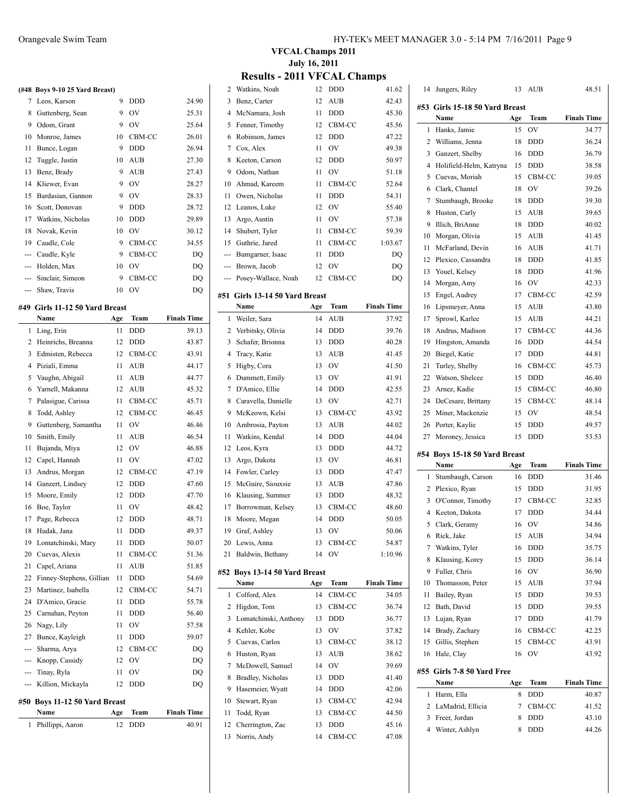|                | (#48 Boys 9-10 25 Yard Breast) |    |            |       |
|----------------|--------------------------------|----|------------|-------|
| 7              | Leos, Karson                   | 9  | <b>DDD</b> | 24.90 |
| 8              | Guttenberg, Sean               | 9  | OV         | 25.31 |
| 9              | Odom, Grant                    | 9  | OV         | 25.64 |
| 10             | Monroe, James                  | 10 | CBM-CC     | 26.01 |
| 11             | Bunce, Logan                   | 9  | <b>DDD</b> | 26.94 |
| 12             | Tuggle, Justin                 | 10 | AUB        | 27.30 |
| 13             | Benz, Brady                    | 9  | <b>AUB</b> | 27.43 |
| 14             | Kliewer, Evan                  | 9  | OV         | 28.27 |
| 15             | Bardasian, Gannon              | 9  | OV         | 28.33 |
| 16             | Scott, Donovan                 | 9  | <b>DDD</b> | 28.72 |
| 17             | Watkins, Nicholas              | 10 | <b>DDD</b> | 29.89 |
| 18             | Novak, Kevin                   | 10 | OV         | 30.12 |
| 19             | Caudle, Cole                   | 9  | CBM-CC     | 34.55 |
| $- - -$        | Caudle, Kyle                   | 9  | CBM-CC     | DQ    |
| $- - -$        | Holden, Max                    | 10 | OV         | DQ    |
| $- - -$        | Sinclair, Simeon               | 9  | CBM-CC     | DQ    |
| $\overline{a}$ | Shaw, Travis                   | 10 | OV         | DQ    |

#### **#49 Girls 11-12 50 Yard Breast**

 $\overline{a}$ 

|                | Name                      | Age | Team       | <b>Finals Time</b> |
|----------------|---------------------------|-----|------------|--------------------|
| 1              | Ling, Erin                | 11  | <b>DDD</b> | 39.13              |
| $\overline{c}$ | Heinrichs, Breanna        | 12  | <b>DDD</b> | 43.87              |
| 3              | Edmisten, Rebecca         | 12  | CBM-CC     | 43.91              |
| 4              | Piziali, Emma             | 11  | AUB        | 44.17              |
| 5              | Vaughn, Abigail           | 11  | AUB        | 44.77              |
| 6              | Yarnell, Makanna          | 12  | <b>AUB</b> | 45.32              |
| 7              | Palasigue, Carissa        | 11  | CBM-CC     | 45.71              |
| 8              | Todd, Ashley              | 12  | CBM-CC     | 46.45              |
| 9              | Guttenberg, Samantha      | 11  | <b>OV</b>  | 46.46              |
| 10             | Smith, Emily              | 11  | <b>AUB</b> | 46.54              |
| 11             | Bujanda, Miya             | 12  | OV         | 46.88              |
| 12             | Capel, Hannah             | 11  | OV         | 47.02              |
| 13             | Andrus, Morgan            | 12  | CBM-CC     | 47.19              |
| 14             | Ganzert, Lindsey          | 12  | <b>DDD</b> | 47.60              |
| 15             | Moore, Emily              | 12  | <b>DDD</b> | 47.70              |
| 16             | Boe, Taylor               | 11  | OV         | 48.42              |
| 17             | Page, Rebecca             | 12  | <b>DDD</b> | 48.71              |
| 18             | Hudak, Jana               | 11  | <b>DDD</b> | 49.37              |
| 19             | Lomatchinski, Mary        | 11  | <b>DDD</b> | 50.07              |
| 20             | Cuevas, Alexis            | 11  | CBM-CC     | 51.36              |
| 21             | Capel, Ariana             | 11  | <b>AUB</b> | 51.85              |
| 22             | Finney-Stephens, Gillian  | 11  | <b>DDD</b> | 54.69              |
| 23             | Martinez, Isabella        | 12  | CBM-CC     | 54.71              |
| 24             | D'Amico, Gracie           | 11  | <b>DDD</b> | 55.78              |
| 25             | Carnahan, Peyton          | 11  | <b>DDD</b> | 56.40              |
| 26             | Nagy, Lily                | 11  | OV         | 57.58              |
| 27             | Bunce, Kayleigh           | 11  | <b>DDD</b> | 59.07              |
| ---            | Sharma, Arya              | 12  | CBM-CC     | DQ                 |
| ---            | Knopp, Cassidy            | 12  | OV         | DQ                 |
| $\overline{a}$ | Tinay, Ryla               | 11  | OV         | DQ                 |
| ---            | Killion, Mickayla         | 12  | <b>DDD</b> | DQ                 |
| #50            | Boys 11-12 50 Yard Breast |     |            |                    |
|                | Name                      | Age | Team       | <b>Finals Time</b> |
| 1              | Phillippi, Aaron          | 12  | <b>DDD</b> | 40.91              |

| HY-TEK's MEET MANAGER 3.0 - 5:14 PM 7/16/2011 Page 9 |  |
|------------------------------------------------------|--|
|------------------------------------------------------|--|

## **VFCAL Champs 2011 July 16, 2011**

| 2   | Watkins, Noah                  | 12  | DDD        | 41.62              |
|-----|--------------------------------|-----|------------|--------------------|
| 3   | Benz, Carter                   | 12  | AUB        | 42.43              |
| 4   | McNamara, Josh                 | 11  | <b>DDD</b> | 45.30              |
| 5   | Fenner, Timothy                | 12  | CBM-CC     | 45.56              |
| 6   | Robinson, James                | 12  | <b>DDD</b> | 47.22              |
| 7   | Cox, Alex                      | 11  | OV         | 49.38              |
| 8   | Keeton, Carson                 | 12  | <b>DDD</b> | 50.97              |
| 9   | Odom, Nathan                   | 11  | OV         | 51.18              |
| 10  | Ahmad, Kareem                  | 11  | CBM-CC     | 52.64              |
| 11  | Owen, Nicholas                 | 11  | <b>DDD</b> | 54.31              |
| 12  | Leanos, Luke                   | 12  | OV         | 55.40              |
| 13  | Argo, Austin                   | 11  | OV         | 57.38              |
| 14  | Shubert, Tyler                 | 11  | CBM-CC     | 59.39              |
| 15  | Guthrie, Jared                 | 11  | CBM-CC     | 1:03.67            |
| --- | Bumgarner, Isaac               | 11  | <b>DDD</b> | DQ                 |
| --- | Brown, Jacob                   | 12  | OV         | DQ                 |
|     | Posey-Wallace, Noah            | 12  | CBM-CC     | DQ                 |
|     |                                |     |            |                    |
|     | #51 Girls 13-14 50 Yard Breast |     |            |                    |
|     | Name                           | Age | Team       | <b>Finals Time</b> |
| 1   | Weiler, Sara                   | 14  | <b>AUB</b> | 37.92              |
| 2   | Verbitsky, Olivia              | 14  | DDD        | 39.76              |
| 3   | Schafer, Brionna               | 13  | <b>DDD</b> | 40.28              |
| 4   | Tracy, Katie                   | 13  | AUB        | 41.45              |
| 5   | Higby, Cora                    | 13  | OV         | 41.50              |
| 6   | Dummett, Emily                 | 13  | OV         | 41.91              |
| 7   | D'Amico, Ellie                 | 14  | <b>DDD</b> | 42.55              |
| 8   | Caravella, Danielle            | 13  | OV         | 42.71              |
| 9   | McKeown, Kelsi                 | 13  | CBM-CC     | 43.92              |
| 10  | Ambrosia, Payton               | 13  | <b>AUB</b> | 44.02              |
| 11  | Watkins, Kendal                | 14  | <b>DDD</b> | 44.04              |
| 12  | Leos, Kyra                     | 13  | <b>DDD</b> | 44.72              |
| 13  | Argo, Dakota                   | 13  | OV         | 46.81              |
| 14  | Fowler, Carley                 | 13  | DDD        | 47.47              |
| 15  | McGuire, Siouxsie              | 13  | <b>AUB</b> | 47.86              |
| 16  | Klausing, Summer               | 13  | <b>DDD</b> | 48.32              |
| 17  | Borrowman, Kelsey              | 13  | CBM-CC     | 48.60              |
| 18  | Moore, Megan                   | 14  | <b>DDD</b> | 50.05              |
|     | 19 Graf, Ashley                | 13  | OV         | 50.06              |
|     | 20 Lewis, Anna                 | 13  | CBM-CC     | 54.87              |
| 21  | Baldwin, Bethany               | 14  | OV         | 1:10.96            |
|     | #52 Boys 13-14 50 Yard Breast  |     |            |                    |
|     | Name                           | Age | Team       | <b>Finals Time</b> |
| 1   | Colford, Alex                  | 14  | CBM-CC     | 34.05              |
| 2   | Higdon, Tom                    | 13  | CBM-CC     | 36.74              |
| 3   | Lomatchinski, Anthony          | 13  | DDD        | 36.77              |
| 4   | Kehler, Kobe                   | 13  | OV         | 37.82              |
| 5   | Cuevas, Carlos                 | 13  | CBM-CC     | 38.12              |
| 6   | Huston, Ryan                   | 13  | AUB        | 38.62              |
| 7   | McDowell, Samuel               | 14  | OV         | 39.69              |
| 8   | Bradley, Nicholas              | 13  | DDD        | 41.40              |
| 9   | Hasemeier, Wyatt               | 14  | DDD        | 42.06              |
| 10  | Stewart, Ryan                  | 13  | CBM-CC     | 42.94              |
| 11  | Todd, Ryan                     | 13  | CBM-CC     | 44.50              |
| 12  | Cherrington, Zac               | 13  | DDD        | 45.16              |
| 13  | Norris, Andy                   | 14  | CBM-CC     | 47.08              |
|     |                                |     |            |                    |

| 14     | Jungers, Riley                        | 13     | AUB        | 48.51              |  |  |
|--------|---------------------------------------|--------|------------|--------------------|--|--|
|        | #53 Girls 15-18 50 Yard Breast        |        |            |                    |  |  |
|        | Name                                  | Age    | Team       | <b>Finals Time</b> |  |  |
| 1      | Hanks, Jamie                          | 15     | OV         | 34.77              |  |  |
| 2      | Williams, Jenna                       | 18     | DDD        | 36.24              |  |  |
| 3      | Ganzert, Shelby                       | 16     | DDD        | 36.79              |  |  |
| 4      | Holifield-Helm, Katryna               | 15     | DDD        | 38.58              |  |  |
| 5      | Cuevas, Moriah                        | 15     | CBM-CC     | 39.05              |  |  |
| 6      | Clark, Chantel                        | 18     | OV         | 39.26              |  |  |
| 7      | Stumbaugh, Brooke                     | 18     | DDD        | 39.30              |  |  |
| 8      | Huston, Carly                         | 15     | AUB        | 39.65              |  |  |
| 9      | Illich, BriAnne                       | 18     | <b>DDD</b> | 40.02              |  |  |
| 10     | Morgan, Olivia                        | 15     | <b>AUB</b> | 41.45              |  |  |
| 11     | McFarland, Devin                      | 16     | AUB        | 41.71              |  |  |
| 12     | Plexico, Cassandra                    | 18     | DDD        | 41.85              |  |  |
| 13     | Youel, Kelsey                         | 18     | <b>DDD</b> | 41.96              |  |  |
| 14     | Morgan, Amy                           | 16     | OV         | 42.33              |  |  |
| 15     | Engel, Audrey                         | 17     | CBM-CC     | 42.59              |  |  |
| 16     | Lipsmeyer, Anna                       | 15     | AUB        | 43.80              |  |  |
| 17     | Sprowl, Karlee                        | 15     | AUB        | 44.21              |  |  |
| 18     | Andrus, Madison                       | 17     | CBM-CC     | 44.36              |  |  |
| 19     | Hingston, Amanda                      | 16     | DDD        | 44.54              |  |  |
| 20     | Biegel, Katie                         | 17     | DDD        | 44.81              |  |  |
| 21     | Turley, Shelby                        | 16     | CBM-CC     | 45.73              |  |  |
| 22     | Watson, Shelcee                       | 15     | DDD        | 46.40              |  |  |
| 23     | Arnez, Kadie                          | 15     | CBM-CC     | 46.80              |  |  |
| 24     | DeCesare, Brittany                    | 15     | CBM-CC     | 48.14              |  |  |
| 25     | Miner, Mackenzie                      | 15     | OV         | 48.54              |  |  |
| 26     | Porter, Kaylie                        | 15     | DDD        | 49.57              |  |  |
| 27     | Moroney, Jessica                      | 15     | <b>DDD</b> | 53.53              |  |  |
|        |                                       |        |            |                    |  |  |
|        | #54 Boys 15-18 50 Yard Breast<br>Name | Age    | Team       | <b>Finals Time</b> |  |  |
| 1      | Stumbaugh, Carson                     | 16     | DDD        | 31.46              |  |  |
| 2      | Plexico, Ryan                         | 15     | DDD        | 31.95              |  |  |
| 3      | O'Connor, Timothy                     | 17     | CBM-CC     | 32.85              |  |  |
| 4      | Keeton, Dakota                        | 17     | DDD        | 34.44              |  |  |
| 5      | Clark, Geramy                         | 16     | OV         | 34.86              |  |  |
| 6      | Rick, Jake                            | 15     | AUB        | 34.94              |  |  |
|        | 7 Watkins, Tyler                      | 16     | <b>DDD</b> | 35.75              |  |  |
| 8      | Klausing, Korey                       | 15     | DDD        | 36.14              |  |  |
| 9      | Fuller, Chris                         | 16     | OV         | 36.90              |  |  |
| 10     | Thomasson, Peter                      | 15     | AUB        | 37.94              |  |  |
| 11     | Bailey, Ryan                          | 15     | DDD        | 39.53              |  |  |
| 12     | Bath, David                           | 15     | DDD        | 39.55              |  |  |
| 13     | Lujan, Ryan                           | 17     | DDD        | 41.79              |  |  |
| 14     | Brady, Zachary                        | 16     | CBM-CC     | 42.25              |  |  |
| 15     | Gillis, Stephen                       | 15     | CBM-CC     | 43.91              |  |  |
| 16     | Hale, Clay                            | 16     | OV         | 43.92              |  |  |
|        |                                       |        |            |                    |  |  |
|        | #55 Girls 7-8 50 Yard Free            |        |            |                    |  |  |
|        | Name                                  | Age    | Team       | <b>Finals Time</b> |  |  |
| 1      | Harm, Ella<br>LaMadrid, Ellicia       | 8<br>7 | DDD        | 40.87              |  |  |
| 2<br>3 |                                       | 8      | CBM-CC     | 41.52              |  |  |
| 4      | Freer, Jordan<br>Winter, Ashlyn       | 8      | DDD<br>DDD | 43.10<br>44.26     |  |  |
|        |                                       |        |            |                    |  |  |
|        |                                       |        |            |                    |  |  |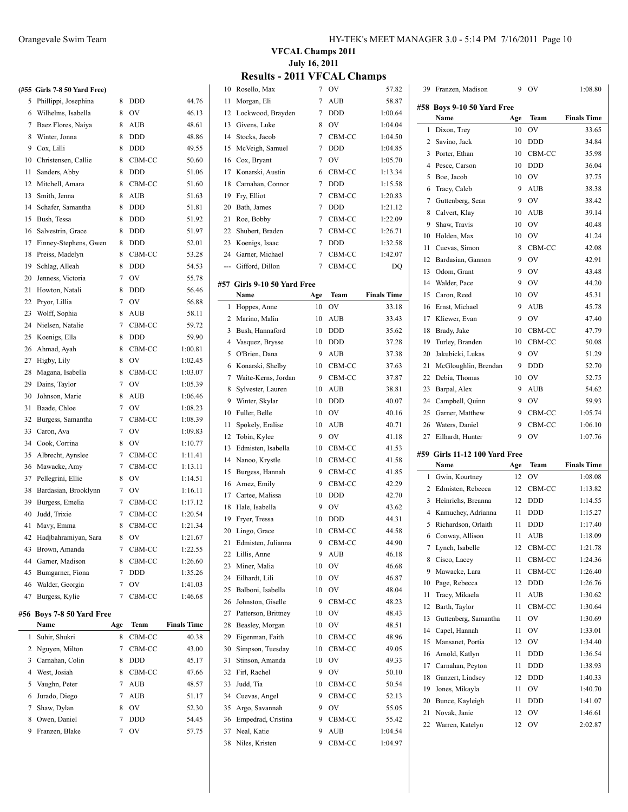|     | (#55 Girls 7-8 50 Yard Free) |   |                |         |
|-----|------------------------------|---|----------------|---------|
|     | 5 Phillippi, Josephina       | 8 | <b>DDD</b>     | 44.76   |
|     | 6 Wilhelms, Isabella         | 8 | OV             | 46.13   |
|     | 7 Baez Flores, Naiya         | 8 | AUB            | 48.61   |
| 8   | Winter, Jonna                | 8 | <b>DDD</b>     | 48.86   |
| 9   | Cox, Lilli                   | 8 | <b>DDD</b>     | 49.55   |
| 10  | Christensen, Callie          | 8 | CBM-CC         | 50.60   |
| 11  | Sanders, Abby                | 8 | <b>DDD</b>     | 51.06   |
| 12  | Mitchell, Amara              | 8 | CBM-CC         | 51.60   |
| 13  | Smith, Jenna                 | 8 | AUB            | 51.63   |
| 14  | Schafer, Samantha            | 8 | <b>DDD</b>     | 51.81   |
| 15  | Bush, Tessa                  | 8 | <b>DDD</b>     | 51.92   |
| 16  | Salvestrin, Grace            | 8 | <b>DDD</b>     | 51.97   |
| 17  | Finney-Stephens, Gwen        | 8 | <b>DDD</b>     | 52.01   |
| 18  | Preiss, Madelyn              | 8 | CBM-CC         | 53.28   |
| 19  | Schlag, Alleah               | 8 | DDD            | 54.53   |
| 20  | Jenness, Victoria            | 7 | OV             | 55.78   |
| 21  | Howton, Natali               | 8 | <b>DDD</b>     | 56.46   |
| 22  | Pryor, Lillia                | 7 | OV             | 56.88   |
| 23  | Wolff, Sophia                | 8 | <b>AUB</b>     | 58.11   |
| 24  | Nielsen, Natalie             | 7 | CBM-CC         | 59.72   |
| 25  | Koenigs, Ella                | 8 | <b>DDD</b>     | 59.90   |
| 26  | Ahmad, Ayah                  | 8 | CBM-CC         | 1:00.81 |
| 27  | Higby, Lily                  | 8 | O <sub>V</sub> | 1:02.45 |
| 28  | Magana, Isabella             | 8 | CBM-CC         | 1:03.07 |
| 29  | Dains, Taylor                | 7 | <b>OV</b>      | 1:05.39 |
| 30  | Johnson, Marie               | 8 | <b>AUB</b>     | 1:06.46 |
| 31  | Baade, Chloe                 | 7 | <b>OV</b>      | 1:08.23 |
| 32  | Burgess, Samantha            | 7 | CBM-CC         | 1:08.39 |
| 33  | Caron, Ava                   | 7 | OV             | 1:09.83 |
| 34  | Cook, Corrina                | 8 | <b>OV</b>      | 1:10.77 |
| 35  | Albrecht, Aynslee            | 7 | CBM-CC         | 1:11.41 |
| 36  | Mawacke, Amy                 | 7 | CBM-CC         | 1:13.11 |
| 37  | Pellegrini, Ellie            | 8 | <b>OV</b>      | 1:14.51 |
| 38  | Bardasian, Brooklynn         | 7 | <b>OV</b>      | 1:16.11 |
| 39  | Burgess, Emelia              | 7 | CBM-CC         | 1:17.12 |
| 40  | Judd, Trixie                 | 7 | CBM-CC         | 1:20.54 |
| 41  | Mavy, Emma                   | 8 | CBM-CC         | 1:21.34 |
| 42  | Hadjbahramiyan, Sara         | 8 | OV             | 1:21.67 |
| 43  | Brown, Amanda                | 7 | CBM-CC         | 1:22.55 |
| 44  | Garner, Madison              | 8 | CBM-CC         | 1:26.60 |
| 45  | Bumgarner, Fiona             | 7 | <b>DDD</b>     | 1:35.26 |
| 46  | Walder, Georgia              | 7 | OV             | 1:41.03 |
| 47  | Burgess, Kylie               | 7 | CBM-CC         | 1:46.68 |
| #56 | Boys 7-8 50 Yard Free        |   |                |         |

|   | Name              | Age | Team       | <b>Finals Time</b> |
|---|-------------------|-----|------------|--------------------|
|   | Suhir, Shukri     | 8   | CBM-CC     | 40.38              |
|   | 2 Nguyen, Milton  |     | CBM-CC     | 43.00              |
|   | 3 Carnahan, Colin | 8   | <b>DDD</b> | 45.17              |
|   | 4 West, Josiah    | 8   | CBM-CC     | 47.66              |
|   | 5 Vaughn, Peter   | 7   | <b>AUB</b> | 48.57              |
|   | 6 Jurado, Diego   | 7   | AUB        | 51.17              |
|   | Shaw, Dylan       | 8   | OV         | 52.30              |
| 8 | Owen, Daniel      | 7   | <b>DDD</b> | 54.45              |
| 9 | Franzen, Blake    |     | OV         | 57.75              |

## **VFCAL Champs 2011 July 16, 2011**

| 10             | Rosello, Max                | 7   | OV         | 57.82              |              | 39 Franzen, Madison                   |     | 9 OV       | 1:08.80            |
|----------------|-----------------------------|-----|------------|--------------------|--------------|---------------------------------------|-----|------------|--------------------|
| 11             | Morgan, Eli                 | 7   | <b>AUB</b> | 58.87              |              | #58 Boys 9-10 50 Yard Free            |     |            |                    |
| 12             | Lockwood, Brayden           | 7   | <b>DDD</b> | 1:00.64            |              | Name                                  | Age | Team       | <b>Finals Time</b> |
| 13             | Givens, Luke                | 8   | OV         | 1:04.04            | $\mathbf{1}$ | Dixon, Trey                           | 10  | <b>OV</b>  | 33.65              |
| 14             | Stocks, Jacob               | 7   | CBM-CC     | 1:04.50            | 2            | Savino, Jack                          | 10  | <b>DDD</b> | 34.84              |
| 15             | McVeigh, Samuel             | 7   | <b>DDD</b> | 1:04.85            | 3            | Porter, Ethan                         | 10  | CBM-CC     | 35.98              |
| 16             | Cox, Bryant                 | 7   | OV         | 1:05.70            | 4            | Pesce, Carson                         | 10  | <b>DDD</b> | 36.04              |
| 17             | Konarski, Austin            | 6   | CBM-CC     | 1:13.34            | 5            | Boe, Jacob                            | 10  | OV         | 37.75              |
| 18             | Carnahan, Connor            | 7   | <b>DDD</b> | 1:15.58            | 6            | Tracy, Caleb                          | 9   | <b>AUB</b> | 38.38              |
| 19             | Fry, Elliot                 | 7   | CBM-CC     | 1:20.83            | 7            | Guttenberg, Sean                      | 9   | OV         | 38.42              |
| 20             | Bath, James                 | 7   | <b>DDD</b> | 1:21.12            | 8            | Calvert, Klay                         | 10  | AUB        | 39.14              |
| 21             | Roe, Bobby                  | 7   | CBM-CC     | 1:22.09            | 9            | Shaw, Travis                          | 10  | OV         | 40.48              |
| 22             | Shubert, Braden             | 7   | CBM-CC     | 1:26.71            | 10           | Holden, Max                           | 10  | - OV       | 41.24              |
| 23             | Koenigs, Isaac              | 7   | <b>DDD</b> | 1:32.58            | 11           | Cuevas, Simon                         | 8   | CBM-CC     | 42.08              |
| 24             | Garner, Michael             | 7   | CBM-CC     | 1:42.07            | 12           | Bardasian, Gannon                     | 9   | <b>OV</b>  | 42.91              |
|                | Gifford, Dillon             | 7   | CBM-CC     | DQ                 | 13           | Odom, Grant                           | 9   | OV         | 43.48              |
|                | #57 Girls 9-10 50 Yard Free |     |            |                    | 14           | Walder, Pace                          | 9   | OV         | 44.20              |
|                | Name                        | Age | Team       | <b>Finals Time</b> | 15           | Caron, Reed                           | 10  | OV         | 45.31              |
|                | 1 Hoppes, Anne              | 10  | OV         | 33.18              | 16           | Ernst, Michael                        | 9   | <b>AUB</b> | 45.78              |
| $\overline{2}$ | Marino, Malin               | 10  | AUB        | 33.43              | 17           | Kliewer, Evan                         | 9   | OV         | 47.40              |
| 3              | Bush, Hannaford             | 10  | <b>DDD</b> | 35.62              | 18           | Brady, Jake                           | 10  | CBM-CC     | 47.79              |
| 4              | Vasquez, Brysse             | 10  | <b>DDD</b> | 37.28              | 19           | Turley, Branden                       | 10  | CBM-CC     | 50.08              |
| 5              | O'Brien, Dana               | 9   | AUB        | 37.38              | 20           | Jakubicki, Lukas                      | 9   | <b>OV</b>  | 51.29              |
| 6              | Konarski, Shelby            | 10  | CBM-CC     | 37.63              | 21           | McGloughlin, Brendan                  | 9   | <b>DDD</b> | 52.70              |
| 7              | Waite-Kerns, Jordan         | 9   | CBM-CC     | 37.87              | 22           | Debia, Thomas                         | 10  | OV         | 52.75              |
| 8              | Sylvester, Lauren           | 10  | <b>AUB</b> | 38.81              | 23           | Barpal, Alex                          | 9   | <b>AUB</b> | 54.62              |
| 9              | Winter, Skylar              | 10  | <b>DDD</b> | 40.07              | 24           | Campbell, Quinn                       | 9   | OV         | 59.93              |
| 10             | Fuller, Belle               | 10  | OV         | 40.16              | 25           | Garner, Matthew                       | 9   | CBM-CC     | 1:05.74            |
| 11             | Spokely, Eralise            | 10  | AUB        | 40.71              | 26           | Waters, Daniel                        | 9   | CBM-CC     | 1:06.10            |
| 12             | Tobin, Kylee                | 9   | <b>OV</b>  | 41.18              | 27           | Eilhardt, Hunter                      | 9   | <b>OV</b>  | 1:07.76            |
| 13             | Edmisten, Isabella          | 10  | CBM-CC     | 41.53              |              |                                       |     |            |                    |
| 14             | Nanoo, Krystle              | 10  | CBM-CC     | 41.58              |              | #59 Girls 11-12 100 Yard Free<br>Name | Age | Team       | <b>Finals Time</b> |
| 15             | Burgess, Hannah             | 9   | CBM-CC     | 41.85              | $\mathbf{1}$ | Gwin, Kourtney                        | 12  | <b>OV</b>  | 1:08.08            |
| 16             | Arnez, Emily                | 9   | CBM-CC     | 42.29              | $\mathbf{2}$ | Edmisten, Rebecca                     | 12  | CBM-CC     | 1:13.82            |
| 17             | Cartee, Malissa             | 10  | <b>DDD</b> | 42.70              | 3            | Heinrichs, Breanna                    | 12  | <b>DDD</b> | 1:14.55            |
| 18             | Hale, Isabella              | 9   | OV         | 43.62              | 4            | Kamuchey, Adrianna                    | 11  | <b>DDD</b> | 1:15.27            |
| 19             | Fryer, Tressa               | 10  | <b>DDD</b> | 44.31              | 5            | Richardson, Orlaith                   | 11  | <b>DDD</b> | 1:17.40            |
| 20             | Lingo, Grace                | 10  | CBM-CC     | 44.58              | 6            | Conway, Allison                       | 11  | AUB        | 1:18.09            |
|                | 21 Edmisten, Julianna       | 9   | CBM-CC     | 44.90              |              | 7 Lynch, Isabelle                     |     | 12 CBM-CC  | 1:21.78            |
|                | 22 Lillis, Anne             | 9   | AUB        | 46.18              |              | 8 Cisco, Lacev                        | 11  | CBM-CC     | 1:24.36            |
| 23             | Miner, Malia                | 10  | OV         | 46.68              | 9            | Mawacke, Lara                         | 11  | CBM-CC     | 1:26.40            |
| 24             | Eilhardt, Lili              | 10  | OV         | 46.87              | 10           | Page, Rebecca                         | 12  | <b>DDD</b> | 1:26.76            |
| 25             | Balboni, Isabella           | 10  | OV         | 48.04              | 11           | Tracy, Mikaela                        | 11  | AUB        | 1:30.62            |
| 26             | Johnston, Giselle           | 9   | CBM-CC     | 48.23              | 12           | Barth, Taylor                         | 11  | CBM-CC     | 1:30.64            |
| 27             | Patterson, Brittney         | 10  | OV         | 48.43              | 13           | Guttenberg, Samantha                  | 11  | OV         | 1:30.69            |
| 28             | Beasley, Morgan             | 10  | OV         | 48.51              | 14           | Capel, Hannah                         | 11  | <b>OV</b>  | 1:33.01            |
| 29             | Eigenman, Faith             | 10  | CBM-CC     | 48.96              | 15           | Mansanet, Portia                      | 12  | OV         | 1:34.40            |
| 30             | Simpson, Tuesday            | 10  | CBM-CC     | 49.05              | 16           | Arnold, Katlyn                        | 11  | <b>DDD</b> | 1:36.54            |
| 31             | Stinson, Amanda             | 10  | OV         | 49.33              | 17           | Carnahan, Peyton                      | 11  | <b>DDD</b> | 1:38.93            |
| 32             | Firl, Rachel                | 9   | OV         | 50.10              | 18           | Ganzert, Lindsey                      | 12  | <b>DDD</b> | 1:40.33            |
| 33             | Judd, Tia                   | 10  | CBM-CC     | 50.54              | 19           | Jones, Mikayla                        | 11  | OV         | 1:40.70            |
| 34             | Cuevas, Angel               | 9   | CBM-CC     | 52.13              | 20           | Bunce, Kayleigh                       | 11  | <b>DDD</b> | 1:41.07            |
| 35             | Argo, Savannah              | 9   | OV         | 55.05              | 21           | Novak, Janie                          | 12  | OV         | 1:46.61            |
| 36             | Empedrad, Cristina          | 9   | CBM-CC     | 55.42              | 22           | Warren, Katelyn                       | 12  | <b>OV</b>  | 2:02.87            |
| 37             | Neal, Katie                 | 9   | AUB        | 1:04.54            |              |                                       |     |            |                    |
|                | 38 Niles, Kristen           | 9   | CBM-CC     | 1:04.97            |              |                                       |     |            |                    |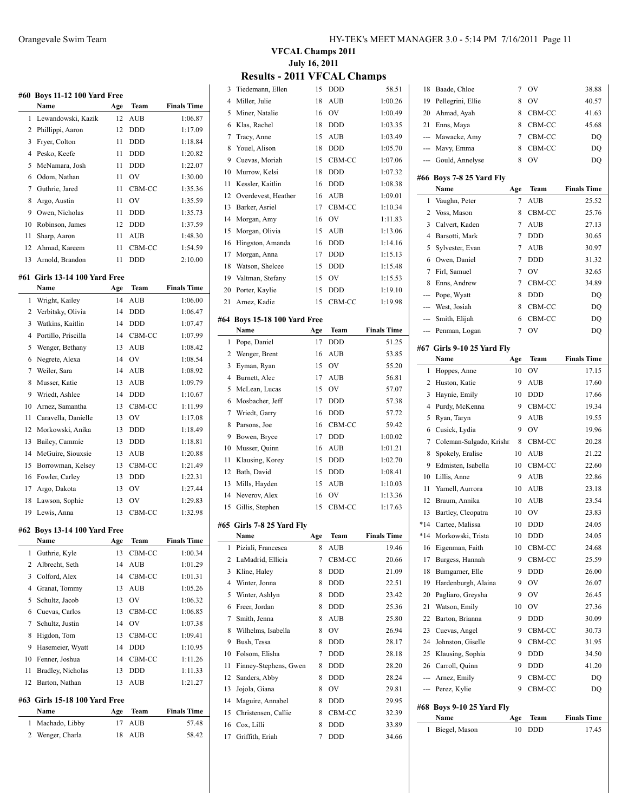|              | #60 Boys 11-12 100 Yard Free     |     |            |                    |
|--------------|----------------------------------|-----|------------|--------------------|
|              | Name                             | Age | Team       | <b>Finals Time</b> |
| 1            | Lewandowski, Kazik               | 12  | AUB        | 1:06.87            |
| 2            | Phillippi, Aaron                 | 12  | <b>DDD</b> | 1:17.09            |
| 3            | Fryer, Colton                    | 11  | <b>DDD</b> | 1:18.84            |
| 4            | Pesko, Keefe                     | 11  | <b>DDD</b> | 1:20.82            |
| 5            | McNamara, Josh                   | 11  | <b>DDD</b> | 1:22.07            |
| 6            | Odom, Nathan                     | 11  | OV         | 1:30.00            |
| 7            | Guthrie, Jared                   | 11  | CBM-CC     | 1:35.36            |
| 8            | Argo, Austin                     | 11  | OV         | 1:35.59            |
| 9            | Owen, Nicholas                   | 11  | <b>DDD</b> | 1:35.73            |
| 10           | Robinson, James                  | 12  | DDD        | 1:37.59            |
| 11           | Sharp, Aaron                     | 11  | <b>AUB</b> | 1:48.30            |
| 12           | Ahmad, Kareem                    | 11  | CBM-CC     | 1:54.59            |
| 13           | Arnold, Brandon                  | 11  | <b>DDD</b> | 2:10.00            |
| #61          | <b>Girls 13-14 100 Yard Free</b> |     |            |                    |
|              | Name                             | Age | Team       | <b>Finals Time</b> |
| 1            | Wright, Kailey                   | 14  | <b>AUB</b> | 1:06.00            |
| 2            | Verbitsky, Olivia                | 14  | <b>DDD</b> | 1:06.47            |
| 3            | Watkins, Kaitlin                 | 14  | <b>DDD</b> | 1:07.47            |
| 4            | Portillo, Priscilla              | 14  | CBM-CC     | 1:07.99            |
| 5            | Wenger, Bethany                  | 13  | <b>AUB</b> | 1:08.42            |
| 6            | Negrete, Alexa                   | 14  | OV         | 1:08.54            |
| 7            | Weiler, Sara                     | 14  | AUB        | 1:08.92            |
| 8            | Musser, Katie                    | 13  | <b>AUB</b> | 1:09.79            |
| 9            | Wriedt, Ashlee                   | 14  | <b>DDD</b> | 1:10.67            |
| 10           | Arnez, Samantha                  | 13  | CBM-CC     | 1:11.99            |
| 11           | Caravella, Danielle              | 13  | OV         | 1:17.08            |
| 12           | Morkowski, Anika                 | 13  | <b>DDD</b> | 1:18.49            |
| 13           | Bailey, Cammie                   | 13  | <b>DDD</b> | 1:18.81            |
| 14           | McGuire, Siouxsie                | 13  | <b>AUB</b> | 1:20.88            |
| 15           | Borrowman, Kelsey                | 13  | CBM-CC     | 1:21.49            |
| 16           | Fowler, Carley                   | 13  | <b>DDD</b> | 1:22.31            |
| 17           | Argo, Dakota                     | 13  | OV         | 1:27.44            |
| 18           | Lawson, Sophie                   | 13  | OV         | 1:29.83            |
| 19           | Lewis, Anna                      | 13  | CBM-CC     | 1:32.98            |
|              |                                  |     |            |                    |
|              | #62 Boys 13-14 100 Yard Free     |     |            |                    |
|              | Name                             | Age | Team       | <b>Finals Time</b> |
| 1            | Guthrie, Kyle                    | 13  | CBM-CC     | 1:00.34            |
| 2            | Albrecht, Seth                   | 14  | AUB        | 1:01.29            |
| 3            | Colford, Alex                    | 14  | CBM-CC     | 1:01.31            |
| 4            | Granat, Tommy                    | 13  | <b>AUB</b> | 1:05.26            |
| 5            | Schultz, Jacob                   | 13  | OV         | 1:06.32            |
| 6            | Cuevas, Carlos                   | 13  | CBM-CC     | 1:06.85            |
| 7            | Schultz, Justin                  | 14  | OV         | 1:07.38            |
| 8            | Higdon, Tom                      | 13  | CBM-CC     | 1:09.41            |
| 9            | Hasemeier, Wyatt                 | 14  | <b>DDD</b> | 1:10.95            |
| 10           | Fenner, Joshua                   | 14  | CBM-CC     | 1:11.26            |
| 11           | Bradley, Nicholas                | 13  | DDD        | 1:11.33            |
| 12           | Barton, Nathan                   | 13  | AUB        | 1:21.27            |
|              | #63 Girls 15-18 100 Yard Free    |     |            |                    |
|              | Name                             | Age | Team       | <b>Finals Time</b> |
| $\mathbf{1}$ | Machado, Libby                   | 17  | AUB        | 57.48              |

Wenger, Charla 18 AUB 58.42

| HY-TEK's MEET MANAGER 3.0 - 5:14 PM 7/16/2011 Page 11 |  |  |  |  |
|-------------------------------------------------------|--|--|--|--|
|-------------------------------------------------------|--|--|--|--|

## **VFCAL Champs 2011 July 16, 2011**

| <b>Results - 2011 VFCAL Champs</b> |  |  |
|------------------------------------|--|--|
|------------------------------------|--|--|

| 3  |                              |     |            |                    |
|----|------------------------------|-----|------------|--------------------|
|    | Tiedemann, Ellen             | 15  | DDD        | 58.51              |
| 4  | Miller, Julie                | 18  | AUB        | 1:00.26            |
| 5  | Miner, Natalie               | 16  | OV         | 1:00.49            |
| 6  | Klas, Rachel                 | 18  | DDD        | 1:03.35            |
| 7  | Tracy, Anne                  | 15  | AUB        | 1:03.49            |
| 8  | Youel, Alison                | 18  | DDD        | 1:05.70            |
| 9  | Cuevas, Moriah               | 15  | CBM-CC     | 1:07.06            |
| 10 | Murrow, Kelsi                | 18  | DDD        | 1:07.32            |
| 11 | Kessler, Kaitlin             | 16  | DDD        | 1:08.38            |
| 12 | Overdevest, Heather          | 16  | AUB        | 1:09.01            |
| 13 | Barker, Asriel               | 17  | CBM-CC     |                    |
|    |                              |     |            | 1:10.34            |
| 14 | Morgan, Amy                  | 16  | OV         | 1:11.83            |
| 15 | Morgan, Olivia               | 15  | <b>AUB</b> | 1:13.06            |
| 16 | Hingston, Amanda             | 16  | <b>DDD</b> | 1:14.16            |
| 17 | Morgan, Anna                 | 17  | DDD        | 1:15.13            |
| 18 | Watson, Shelcee              | 15  | DDD        | 1:15.48            |
| 19 | Valtman, Stefany             | 15  | OV         | 1:15.53            |
| 20 | Porter, Kaylie               | 15  | DDD        | 1:19.10            |
| 21 | Arnez, Kadie                 | 15  | CBM-CC     | 1:19.98            |
|    | #64 Bovs 15-18 100 Yard Free |     |            |                    |
|    | Name                         | Age | Team       | <b>Finals Time</b> |
| 1  | Pope, Daniel                 | 17  | DDD        | 51.25              |
| 2  | Wenger, Brent                | 16  | <b>AUB</b> | 53.85              |
| 3  |                              | 15  | OV         |                    |
|    | Eyman, Ryan                  |     |            | 55.20              |
| 4  | Burnett, Alec                | 17  | <b>AUB</b> | 56.81              |
| 5  | McLean, Lucas                | 15  | OV         | 57.07              |
| 6  | Mosbacher, Jeff              | 17  | DDD        | 57.38              |
| 7  | Wriedt, Garry                | 16  | DDD        | 57.72              |
| 8  | Parsons, Joe                 | 16  | CBM-CC     | 59.42              |
|    | Bowen, Bryce                 | 17  | DDD        | 1:00.02            |
| 9  |                              |     |            |                    |
| 10 | Musser, Quinn                | 16  | <b>AUB</b> | 1:01.21            |
| 11 | Klausing, Korey              | 15  | DDD        | 1:02.70            |
| 12 | Bath, David                  | 15  | DDD        | 1:08.41            |
| 13 | Mills, Hayden                | 15  | <b>AUB</b> | 1:10.03            |
| 14 | Neverov, Alex                | 16  | OV         | 1:13.36            |
| 15 | Gillis, Stephen              | 15  | CBM-CC     | 1:17.63            |
|    |                              |     |            |                    |
|    | #65 Girls 7-8 25 Yard Fly    |     |            |                    |
|    | Name                         | Age | Team       | <b>Finals Time</b> |
| 1  | Piziali, Francesca           | 8   | AUB        | 19.46              |
| 2  | LaMadrid, Ellicia            | 7   | CBM-CC     | 20.66              |
| 3  | Kline, Haley                 | 8   | DDD        | 21.09              |
| 4  | Winter, Jonna                | 8   | DDD        | 22.51              |
| 5  | Winter, Ashlyn               | 8   | DDD        | 23.42              |
| 6  | Freer. Jordan                | 8   | <b>DDD</b> | 25.36              |
| 7  | Smith, Jenna                 | 8   | <b>AUB</b> | 25.80              |
| 8  | Wilhelms, Isabella           | 8   | OV         | 26.94              |
| 9  | Bush, Tessa                  | 8   | DDD        | 28.17              |
| 10 | Folsom, Elisha               | 7   | DDD        | 28.18              |
| 11 | Finney-Stephens, Gwen        | 8   | DDD        | 28.20              |
| 12 | Sanders, Abby                | 8   | DDD        | 28.24              |
| 13 | Jojola, Giana                | 8   | OV         | 29.81              |
| 14 | Maguire, Annabel             | 8   | DDD        | 29.95              |
| 15 | Christensen, Callie          | 8   | CBM-CC     | 32.39              |
| 16 | Cox, Lilli                   | 8   | DDD        | 33.89              |

| 21  | Watson, Emily                      | 10                       | OV         | 27.36              |
|-----|------------------------------------|--------------------------|------------|--------------------|
| 20  | Pagliaro, Greysha                  |                          |            | 26.45              |
|     |                                    | 9                        | OV         |                    |
| 19  | Hardenburgh, Alaina                | 9                        | OV         | 26.07              |
| 18  | Bumgarner, Elle                    | 9                        | <b>DDD</b> | 26.00              |
| 17  | Burgess, Hannah                    | 9                        | CBM-CC     | 25.59              |
| 16  | Eigenman, Faith                    | 10                       | CBM-CC     | 24.68              |
| *14 | Morkowski, Trista                  | 10                       | DDD        | 24.05              |
| *14 | Cartee, Malissa                    | 10                       | DDD        | 24.05              |
| 13  | Bartley, Cleopatra                 | 10                       | OV         | 23.83              |
| 12  | Braum, Annika                      | 10                       | <b>AUB</b> | 23.54              |
| 11  | Yarnell, Aurrora                   | 10                       | AUB        | 23.18              |
| 10  | Lillis, Anne                       | 9                        | AUB        | 22.86              |
| 9   | Edmisten, Isabella                 | 10                       | CBM-CC     | 22.60              |
| 8   | Spokely, Eralise                   | 10                       | AUB        | 21.22              |
| 7   | Coleman-Salgado, Krishr            | 8                        | CBM-CC     | 20.28              |
| 6   | Cusick, Lydia                      | 9                        | OV         | 19.96              |
| 5   | Ryan, Taryn                        | 9                        | <b>AUB</b> | 19.55              |
| 4   | Purdy, McKenna                     |                          | CBM-CC     | 19.34              |
|     |                                    | 9                        |            |                    |
| 3   | Haynie, Emily                      | 10                       | <b>DDD</b> | 17.66              |
| 2   | Huston, Katie                      | 9                        | AUB        | 17.60              |
| 1   | Hoppes, Anne                       | Age<br>10                | OV         | 17.15              |
|     | #67 Girls 9-10 25 Yard Fly<br>Name |                          | Team       | <b>Finals Time</b> |
|     |                                    |                          |            |                    |
| --- | Penman, Logan                      | 7                        | OV         | DQ                 |
| --- | Smith, Elijah                      | 6                        | CBM-CC     | DQ                 |
| --- | West, Josiah                       | 8                        | CBM-CC     | DQ                 |
| --- | Pope, Wyatt                        | 8                        | <b>DDD</b> | DQ                 |
| 8   | Enns, Andrew                       | 7                        | CBM-CC     | 34.89              |
| 7   | Firl, Samuel                       | 7                        | <b>OV</b>  | 32.65              |
| 6   | Owen, Daniel                       | 7                        | <b>DDD</b> | 31.32              |
| 5   | Sylvester, Evan                    | 7                        | <b>AUB</b> | 30.97              |
| 4   | Barsotti, Mark                     | $\overline{\mathcal{I}}$ | <b>DDD</b> | 30.65              |
| 3   | Calvert, Kaden                     | 7                        | <b>AUB</b> | 27.13              |
| 2   | Voss, Mason                        | 8                        | CBM-CC     | 25.76              |
| 1   | Vaughn, Peter                      | 7                        | AUB        | 25.52              |
|     | #66 Boys 7-8 25 Yard Fly<br>Name   | Age                      | Team       | <b>Finals Time</b> |
|     |                                    |                          |            |                    |
| --- | Gould, Annelyse                    | 8                        | OV         | DQ                 |
| --- | Mavy, Emma                         | 8                        | CBM-CC     | DQ                 |
| --- | Mawacke, Amy                       | 7                        | CBM-CC     | DQ                 |
| 21  | Enns, Maya                         | 8                        | CBM-CC     | 45.68              |
| 20  | Ahmad, Ayah                        | 8                        | CBM-CC     | 41.63              |
| 19  | Pellegrini, Ellie                  | 8                        | OV         | 40.57              |
| 18  | Baade, Chloe                       | 7                        | OV         | 38.88              |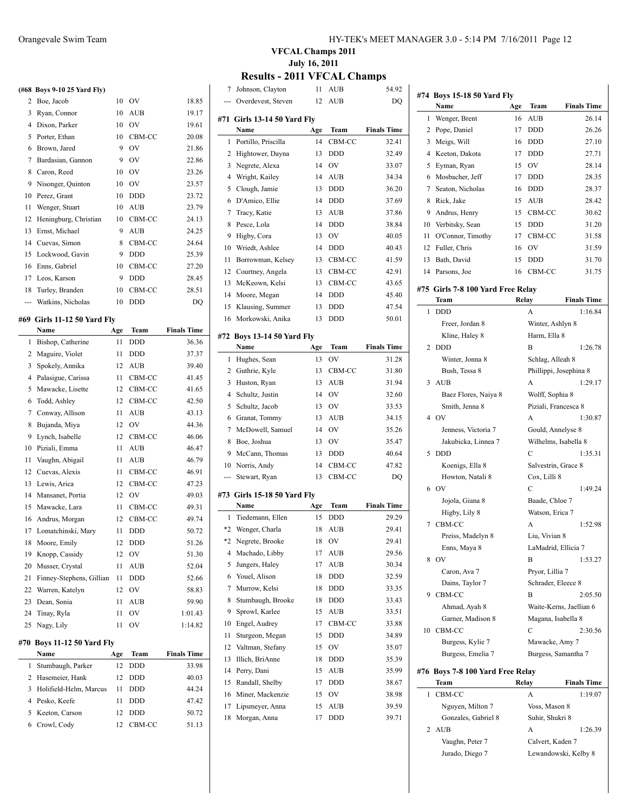### **(#68 Boys 9-10 25 Yard Fly)**

|    | 708 BOVS 9-10 45 YAI'd FIV) |    |            |       |
|----|-----------------------------|----|------------|-------|
| 2  | Boe, Jacob                  | 10 | OV         | 18.85 |
| 3  | Ryan, Connor                | 10 | <b>AUB</b> | 19.17 |
| 4  | Dixon, Parker               | 10 | OV         | 19.61 |
| 5  | Porter, Ethan               | 10 | CBM-CC     | 20.08 |
| 6  | Brown, Jared                | 9  | OV         | 21.86 |
| 7  | Bardasian, Gannon           | 9  | OV         | 22.86 |
| 8  | Caron, Reed                 | 10 | OV         | 23.26 |
| 9  | Nisonger, Quinton           | 10 | OV         | 23.57 |
| 10 | Perez, Grant                | 10 | <b>DDD</b> | 23.72 |
| 11 | Wenger, Stuart              | 10 | <b>AUB</b> | 23.79 |
| 12 | Heningburg, Christian       | 10 | CBM-CC     | 24.13 |
| 13 | Ernst, Michael              | 9  | AUB        | 24.25 |
| 14 | Cuevas, Simon               | 8  | CBM-CC     | 24.64 |
| 15 | Lockwood, Gavin             | 9  | <b>DDD</b> | 25.39 |
| 16 | Enns, Gabriel               | 10 | CBM-CC     | 27.20 |
| 17 | Leos, Karson                | 9  | <b>DDD</b> | 28.45 |
| 18 | Turley, Branden             | 10 | CBM-CC     | 28.51 |
|    | Watkins, Nicholas           | 10 | DDD        | DQ    |
|    |                             |    |            |       |

#### **#69 Girls 11-12 50 Yard Fly**

|                | Name                          | Age | Team       | <b>Finals Time</b> |
|----------------|-------------------------------|-----|------------|--------------------|
| 1              | Bishop, Catherine             | 11  | <b>DDD</b> | 36.36              |
| 2              | Maguire, Violet               | 11  | <b>DDD</b> | 37.37              |
| 3              | Spokely, Annika               | 12  | <b>AUB</b> | 39.40              |
| 4              | Palasigue, Carissa            | 11  | CBM-CC     | 41.45              |
| 5              | Mawacke, Lisette              | 12  | CBM-CC     | 41.65              |
| 6              | Todd, Ashley                  | 12  | CBM-CC     | 42.50              |
| 7              | Conway, Allison               | 11  | <b>AUB</b> | 43.13              |
| 8              | Bujanda, Miya                 | 12  | OV         | 44.36              |
| 9              | Lynch, Isabelle               | 12  | CBM-CC     | 46.06              |
| 10             | Piziali, Emma                 | 11  | <b>AUB</b> | 46.47              |
| 11             | Vaughn, Abigail               | 11  | <b>AUB</b> | 46.79              |
| 12             | Cuevas, Alexis                | 11  | CBM-CC     | 46.91              |
| 13             | Lewis, Arica                  | 12  | CBM-CC     | 47.23              |
| 14             | Mansanet, Portia              | 12  | OV         | 49.03              |
| 15             | Mawacke, Lara                 | 11  | CBM-CC     | 49.31              |
| 16             | Andrus, Morgan                | 12  | CBM-CC     | 49.74              |
| 17             | Lomatchinski, Mary            | 11  | <b>DDD</b> | 50.72              |
| 18             | Moore, Emily                  | 12  | <b>DDD</b> | 51.26              |
| 19             | Knopp, Cassidy                | 12  | OV         | 51.30              |
| 20             | Musser, Crystal               | 11  | AUB        | 52.04              |
| 21             | Finney-Stephens, Gillian      | 11  | <b>DDD</b> | 52.66              |
| 22             | Warren, Katelyn               | 12  | OV         | 58.83              |
| 23             | Dean, Sonia                   | 11  | AUB        | 59.90              |
| 24             | Tinay, Ryla                   | 11  | OV         | 1:01.43            |
| 25             | Nagy, Lily                    | 11  | OV         | 1:14.82            |
| #70            | <b>Boys 11-12 50 Yard Fly</b> |     |            |                    |
|                | Name                          | Age | Team       | <b>Finals Time</b> |
| 1              | Stumbaugh, Parker             | 12  | DDD        | 33.98              |
| 2              | Hasemeier, Hank               | 12  | DDD        | 40.03              |
| 3              | Holifield-Helm, Marcus        | 11  | DDD        | 44.24              |
| $\overline{4}$ | Pesko, Keefe                  | 11  | DDD        | 47.42              |
| 5              | Keeton, Carson                | 12  | <b>DDD</b> | 50.72              |

Crowl, Cody 12 CBM-CC 51.13

#### Orangevale Swim Team HY-TEK's MEET MANAGER 3.0 - 5:14 PM 7/16/2011 Page 12

### **VFCAL Champs 2011 July 16, 2011**

### **Results - 2011 VFCAL Champs**

 $\overline{a}$ 

 $\overline{a}$ 

 $\overline{a}$ 

| 7   | Johnson, Clayton                      | 11  | AUB        | 54.92              |
|-----|---------------------------------------|-----|------------|--------------------|
| --- | Overdevest, Steven                    | 12  | AUB        | DQ                 |
| #71 | <b>Girls 13-14 50 Yard Fly</b>        |     |            |                    |
|     | Name                                  | Age | Team       | <b>Finals Time</b> |
| 1   | Portillo, Priscilla                   | 14  | CBM-CC     | 32.41              |
| 2   | Hightower, Dayna                      | 13  | DDD        | 32.49              |
| 3   | Negrete, Alexa                        | 14  | OV         | 33.07              |
| 4   | Wright, Kailey                        | 14  | <b>AUB</b> | 34.34              |
| 5   | Clough, Jamie                         | 13  | DDD        | 36.20              |
| 6   | D'Amico, Ellie                        | 14  | DDD        | 37.69              |
| 7   | Tracy, Katie                          | 13  | AUB        | 37.86              |
| 8   | Pesce, Lola                           | 14  | <b>DDD</b> | 38.84              |
| 9   | Higby, Cora                           | 13  | OV         | 40.05              |
| 10  | Wriedt, Ashlee                        | 14  | DDD        | 40.43              |
| 11  | Borrowman, Kelsey                     | 13  | CBM-CC     | 41.59              |
| 12  | Courtney, Angela                      | 13  | CBM-CC     | 42.91              |
| 13  | McKeown, Kelsi                        | 13  | CBM-CC     | 43.65              |
| 14  | Moore, Megan                          | 14  | DDD        | 45.40              |
| 15  | Klausing, Summer                      | 13  | DDD        | 47.54              |
| 16  | Morkowski, Anika                      | 13  | DDD        | 50.01              |
|     |                                       |     |            |                    |
| #72 | <b>Boys 13-14 50 Yard Fly</b><br>Name | Age | Team       | <b>Finals Time</b> |
| 1   | Hughes, Sean                          | 13  | OV         | 31.28              |
| 2   | Guthrie, Kyle                         | 13  | CBM-CC     | 31.80              |
| 3   | Huston, Ryan                          | 13  | <b>AUB</b> | 31.94              |
| 4   | Schultz, Justin                       | 14  | OV         | 32.60              |
| 5   | Schultz, Jacob                        | 13  | OV         | 33.53              |
| 6   | Granat, Tommy                         | 13  | <b>AUB</b> | 34.15              |
| 7   | McDowell, Samuel                      | 14  | OV         | 35.26              |
| 8   | Boe, Joshua                           | 13  | OV         | 35.47              |
| 9   | McCann, Thomas                        | 13  | DDD        | 40.64              |
| 10  | Norris, Andy                          | 14  | CBM-CC     | 47.82              |
| --- | Stewart, Ryan                         | 13  | CBM-CC     | DQ                 |
|     |                                       |     |            |                    |
|     | #73 Girls 15-18 50 Yard Fly           |     |            |                    |
|     | Name                                  | Age | Team       | <b>Finals Time</b> |
| 1   | Tiedemann, Ellen                      | 15  | <b>DDD</b> | 29.29              |
| *2  | Wenger, Charla                        | 18  | <b>AUB</b> | 29.41              |
|     | *2 Negrete, Brooke                    |     | 18 OV      | 29.41              |
| 4   | Machado, Libby                        | 17  | AUB        | 29.56              |
| 5   | Jungers, Haley                        | 17  | AUB        | 30.34              |
| 6   | Youel, Alison                         | 18  | DDD        | 32.59              |
| 7   | Murrow, Kelsi                         | 18  | DDD        | 33.35              |
| 8   | Stumbaugh, Brooke                     | 18  | DDD        | 33.43              |
| 9   | Sprowl, Karlee                        | 15  | AUB        | 33.51              |
| 10  | Engel, Audrey                         | 17  | CBM-CC     | 33.88              |
| 11  | Sturgeon, Megan                       | 15  | DDD        | 34.89              |
| 12  | Valtman, Stefany                      | 15  | OV         | 35.07              |
| 13  | Illich, BriAnne                       | 18  | DDD        | 35.39              |
| 14  | Perry, Dani                           | 15  | AUB        | 35.99              |
| 15  | Randall, Shelby                       | 17  | DDD        | 38.67              |
| 16  | Miner, Mackenzie                      | 15  | OV         | 38.98              |
| 17  | Lipsmeyer, Anna                       | 15  | AUB        | 39.59              |
| 18  | Morgan, Anna                          | 17  | DDD        | 39.71              |

|                | #74 Boys 15-18 50 Yard Fly          |     |                                     |                         |
|----------------|-------------------------------------|-----|-------------------------------------|-------------------------|
|                | Name                                | Age | Team                                | <b>Finals Time</b>      |
| 1              | Wenger, Brent                       | 16  | AUB                                 | 26.14                   |
| $\overline{c}$ | Pope, Daniel                        | 17  | <b>DDD</b>                          | 26.26                   |
| 3              | Meigs, Will                         | 16  | DDD                                 | 27.10                   |
| 4              | Keeton, Dakota                      | 17  | <b>DDD</b>                          | 27.71                   |
| 5              | Eyman, Ryan                         | 15  | OV                                  | 28.14                   |
| 6              | Mosbacher, Jeff                     | 17  | <b>DDD</b>                          | 28.35                   |
| 7              | Seaton, Nicholas                    | 16  | <b>DDD</b>                          | 28.37                   |
| 8              | Rick, Jake                          | 15  | AUB                                 | 28.42                   |
| 9              | Andrus, Henry                       | 15  | CBM-CC                              | 30.62                   |
| 10             | Verbitsky, Sean                     | 15  | <b>DDD</b>                          | 31.20                   |
| 11             | O'Connor, Timothy                   | 17  | CBM-CC                              | 31.58                   |
| 12             | Fuller, Chris                       | 16  | OV                                  | 31.59                   |
| 13             | Bath, David                         | 15  | DDD                                 | 31.70                   |
| 14             | Parsons, Joe                        | 16  | CBM-CC                              | 31.75                   |
|                |                                     |     |                                     |                         |
|                | #75  Girls 7-8 100 Yard Free Relay  |     |                                     | <b>Finals Time</b>      |
| 1              | Team<br><b>DDD</b>                  |     | Relay<br>А                          | 1:16.84                 |
|                |                                     |     |                                     |                         |
|                | Freer, Jordan 8                     |     | Winter, Ashlyn 8<br>Harm, Ella 8    |                         |
| 2              | Kline, Haley 8<br><b>DDD</b>        |     | B                                   | 1:26.78                 |
|                |                                     |     |                                     |                         |
|                | Winter, Jonna 8<br>Bush, Tessa 8    |     | Schlag, Alleah 8                    |                         |
| 3              | <b>AUB</b>                          |     | Phillippi, Josephina 8<br>A         | 1:29.17                 |
|                |                                     |     |                                     |                         |
|                | Baez Flores, Naiya 8                |     | Wolff, Sophia 8                     |                         |
| 4              | Smith, Jenna 8<br>O <sub>V</sub>    |     | Piziali, Francesca 8<br>A           | 1:30.87                 |
|                | Jenness, Victoria 7                 |     | Gould, Annelyse 8                   |                         |
|                | Jakubicka, Linnea 7                 |     | Wilhelms, Isabella 8                |                         |
| 5              | <b>DDD</b>                          |     | С                                   | 1:35.31                 |
|                |                                     |     |                                     |                         |
|                | Koenigs, Ella 8<br>Howton, Natali 8 |     | Salvestrin, Grace 8<br>Cox, Lilli 8 |                         |
| 6              | OV                                  |     | C                                   | 1:49.24                 |
|                | Jojola, Giana 8                     |     | Baade, Chloe 7                      |                         |
|                | Higby, Lily 8                       |     | Watson, Erica 7                     |                         |
| 7              | CBM-CC                              |     | A                                   | 1:52.98                 |
|                | Preiss, Madelyn 8                   |     | Liu, Vivian 8                       |                         |
|                | Enns, Maya 8                        |     | LaMadrid, Ellicia 7                 |                         |
|                | 8 OV                                |     | B                                   | 1:53.27                 |
|                | Caron, Ava 7                        |     | Pryor, Lillia 7                     |                         |
|                | Dains, Taylor 7                     |     | Schrader, Eleece 8                  |                         |
| 9              | CBM-CC                              |     | B                                   | 2:05.50                 |
|                | Ahmad, Ayah 8                       |     |                                     | Waite-Kerns, Jaellian 6 |
|                | Garner, Madison 8                   |     | Magana, Isabella 8                  |                         |
| 10             | CBM-CC                              |     | C                                   | 2:30.56                 |
|                | Burgess, Kylie 7                    |     | Mawacke, Amy 7                      |                         |
|                | Burgess, Emelia 7                   |     | Burgess, Samantha 7                 |                         |
|                |                                     |     |                                     |                         |
| #76            | Boys 7-8 100 Yard Free Relay        |     |                                     |                         |
|                | Team                                |     | Relay                               | <b>Finals Time</b>      |
| 1              | CBM-CC                              |     | A                                   | 1:19.07                 |
|                | Nguyen, Milton 7                    |     | Voss, Mason 8                       |                         |
|                | Gonzales, Gabriel 8                 |     | Suhir, Shukri 8                     |                         |
| 2              | <b>AUB</b>                          |     | А                                   | 1:26.39                 |
|                | Vaughn, Peter 7                     |     | Calvert, Kaden 7                    |                         |

Jurado, Diego 7 Lewandowski, Kelby 8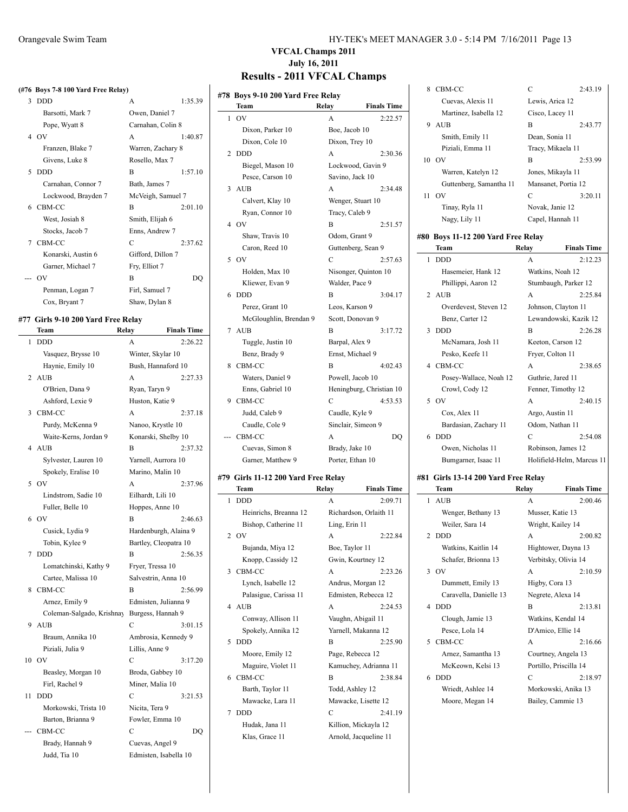|  |  | (#76 Boys 7-8 100 Yard Free Relay) |
|--|--|------------------------------------|
|  |  |                                    |

| 3 | <b>DDD</b>          | A                 | 1:35.39 |
|---|---------------------|-------------------|---------|
|   | Barsotti, Mark 7    | Owen, Daniel 7    |         |
|   | Pope, Wyatt 8       | Carnahan, Colin 8 |         |
|   | 4 OV                | A                 | 1:40.87 |
|   | Franzen, Blake 7    | Warren, Zachary 8 |         |
|   | Givens, Luke 8      | Rosello, Max 7    |         |
| 5 | <b>DDD</b>          | R                 | 1:57.10 |
|   | Carnahan, Connor 7  | Bath, James 7     |         |
|   | Lockwood, Brayden 7 | McVeigh, Samuel 7 |         |
|   | 6 CBM-CC            | B                 | 2:01.10 |
|   | West, Josiah 8      | Smith, Elijah 6   |         |
|   | Stocks, Jacob 7     | Enns, Andrew 7    |         |
|   | 7 CBM-CC            | $\mathcal{C}$     | 2:37.62 |
|   | Konarski, Austin 6  | Gifford, Dillon 7 |         |
|   | Garner, Michael 7   | Fry, Elliot 7     |         |
|   | --- OV              | B                 | DO      |
|   | Penman, Logan 7     | Firl, Samuel 7    |         |
|   | Cox, Bryant 7       | Shaw, Dylan 8     |         |
|   |                     |                   |         |

# **#77 Girls 9-10 200 Yard Free Relay**

 $\overline{\phantom{0}}$ 

|                | Team                      | Relay               | <b>Finals Time</b>    |
|----------------|---------------------------|---------------------|-----------------------|
| 1              | <b>DDD</b>                | A                   | 2:26.22               |
|                | Vasquez, Brysse 10        | Winter, Skylar 10   |                       |
|                | Haynie, Emily 10          | Bush, Hannaford 10  |                       |
| $\overline{c}$ | <b>AUB</b>                | A                   | 2:27.33               |
|                | O'Brien, Dana 9           | Ryan, Taryn 9       |                       |
|                | Ashford, Lexie 9          | Huston, Katie 9     |                       |
| 3              | CBM-CC                    | A                   | 2:37.18               |
|                | Purdy, McKenna 9          | Nanoo, Krystle 10   |                       |
|                | Waite-Kerns, Jordan 9     | Konarski, Shelby 10 |                       |
| 4              | <b>AUB</b>                | B                   | 2:37.32               |
|                | Sylvester, Lauren 10      | Yarnell, Aurrora 10 |                       |
|                | Spokely, Eralise 10       | Marino, Malin 10    |                       |
| 5              | O <sub>V</sub>            | A                   | 2:37.96               |
|                | Lindstrom, Sadie 10       | Eilhardt, Lili 10   |                       |
|                | Fuller, Belle 10          | Hoppes, Anne 10     |                       |
| 6              | OV                        | B                   | 2:46.63               |
|                | Cusick, Lydia 9           |                     | Hardenburgh, Alaina 9 |
|                | Tobin, Kylee 9            |                     | Bartley, Cleopatra 10 |
| 7              | <b>DDD</b>                | B                   | 2:56.35               |
|                | Lomatchinski, Kathy 9     | Fryer, Tressa 10    |                       |
|                | Cartee, Malissa 10        | Salvestrin, Anna 10 |                       |
| 8              | CBM-CC                    | B                   | 2:56.99               |
|                | Arnez, Emily 9            |                     | Edmisten, Julianna 9  |
|                | Coleman-Salgado, Krishnay | Burgess, Hannah 9   |                       |
| 9              | <b>AUB</b>                | C                   | 3:01.15               |
|                | Braum, Annika 10          |                     | Ambrosia, Kennedy 9   |
|                | Piziali, Julia 9          | Lillis, Anne 9      |                       |
| 10             | OV                        | $\mathcal{C}$       | 3:17.20               |
|                | Beasley, Morgan 10        | Broda, Gabbey 10    |                       |
|                | Firl, Rachel 9            | Miner, Malia 10     |                       |
| 11             | <b>DDD</b>                | C                   | 3:21.53               |
|                | Morkowski, Trista 10      | Nicita, Tera 9      |                       |
|                | Barton, Brianna 9         | Fowler, Emma 10     |                       |
|                | CBM-CC                    | C                   | DQ                    |
|                | Brady, Hannah 9           | Cuevas, Angel 9     |                       |
|                | Judd, Tia 10              |                     | Edmisten, Isabella 10 |

#### Orangevale Swim Team HY-TEK's MEET MANAGER 3.0 - 5:14 PM 7/16/2011 Page 13

#### **VFCAL Champs 2011 July 16, 2011 Results - 2011 VFCAL Champs**

| Results - 2011 VFCAL Champs       |
|-----------------------------------|
| #78 Boys 9-10 200 Yard Free Relay |

| 70 | DOYS 9-10 200 YAFU FTEE KEIAY |                    |                          |
|----|-------------------------------|--------------------|--------------------------|
|    | Team                          | Relay              | <b>Finals Time</b>       |
| 1  | OV                            | A                  | 2:22.57                  |
|    | Dixon, Parker 10              | Boe, Jacob 10      |                          |
|    | Dixon, Cole 10                | Dixon, Trey 10     |                          |
| 2  | <b>DDD</b>                    | A                  | 2:30.36                  |
|    | Biegel, Mason 10              | Lockwood, Gavin 9  |                          |
|    | Pesce, Carson 10              | Savino, Jack 10    |                          |
| 3  | <b>AUB</b>                    | A                  | 2:34.48                  |
|    | Calvert, Klay 10              | Wenger, Stuart 10  |                          |
|    | Ryan, Connor 10               | Tracy, Caleb 9     |                          |
| 4  | O <sub>V</sub>                | B                  | 2:51.57                  |
|    | Shaw, Travis 10               | Odom, Grant 9      |                          |
|    | Caron, Reed 10                | Guttenberg, Sean 9 |                          |
| 5  | OV                            | C                  | 2:57.63                  |
|    | Holden, Max 10                |                    | Nisonger, Quinton 10     |
|    | Kliewer, Evan 9               | Walder, Pace 9     |                          |
| 6  | <b>DDD</b>                    | B                  | 3:04.17                  |
|    | Perez, Grant 10               | Leos, Karson 9     |                          |
|    | McGloughlin, Brendan 9        | Scott, Donovan 9   |                          |
| 7  | <b>AUB</b>                    | B                  | 3:17.72                  |
|    | Tuggle, Justin 10             | Barpal, Alex 9     |                          |
|    | Benz, Brady 9                 | Ernst, Michael 9   |                          |
| 8  | CBM-CC                        | В                  | 4:02.43                  |
|    | Waters, Daniel 9              | Powell, Jacob 10   |                          |
|    | Enns, Gabriel 10              |                    | Heningburg, Christian 10 |
| 9  | CBM-CC                        | C                  | 4:53.53                  |
|    | Judd, Caleb 9                 | Caudle, Kyle 9     |                          |
|    | Caudle, Cole 9                | Sinclair, Simeon 9 |                          |
|    | CBM-CC                        | A                  | DO                       |
|    | Cuevas, Simon 8               | Brady, Jake 10     |                          |
|    | Garner, Matthew 9             | Porter, Ethan 10   |                          |
|    |                               |                    |                          |

#### **#79 Girls 11-12 200 Yard Free Relay**

|                | Team                  | Relay                  | <b>Finals Time</b> |
|----------------|-----------------------|------------------------|--------------------|
| 1              | <b>DDD</b>            | A                      | 2:09.71            |
|                | Heinrichs, Breanna 12 | Richardson, Orlaith 11 |                    |
|                | Bishop, Catherine 11  | Ling, Erin 11          |                    |
| $\overline{2}$ | O <sub>V</sub>        | $\mathsf{A}$           | 2:22.84            |
|                | Bujanda, Miya 12      | Boe, Taylor 11         |                    |
|                | Knopp, Cassidy 12     | Gwin, Kourtney 12      |                    |
| 3              | CBM-CC                | A                      | 2:23.26            |
|                | Lynch, Isabelle 12    | Andrus, Morgan 12      |                    |
|                | Palasigue, Carissa 11 | Edmisten, Rebecca 12   |                    |
|                | 4 AUB                 | A                      | 2:24.53            |
|                | Conway, Allison 11    | Vaughn, Abigail 11     |                    |
|                | Spokely, Annika 12    | Yarnell, Makanna 12    |                    |
| 5.             | <b>DDD</b>            | B                      | 2:25.90            |
|                | Moore, Emily 12       | Page, Rebecca 12       |                    |
|                | Maguire, Violet 11    | Kamuchey, Adrianna 11  |                    |
| 6              | CBM-CC                | B                      | 2:38.84            |
|                | Barth, Taylor 11      | Todd, Ashley 12        |                    |
|                | Mawacke, Lara 11      | Mawacke, Lisette 12    |                    |
| 7              | <b>DDD</b>            | C                      | 2:41.19            |
|                | Hudak, Jana 11        | Killion, Mickayla 12   |                    |
|                | Klas, Grace 11        | Arnold, Jacqueline 11  |                    |
|                |                       |                        |                    |

| 8            | CBM-CC                             | C                  | 2:43.19               |
|--------------|------------------------------------|--------------------|-----------------------|
|              | Cuevas, Alexis 11                  | Lewis, Arica 12    |                       |
|              | Martinez, Isabella 12              | Cisco, Lacey 11    |                       |
| 9            | <b>AUB</b>                         | В                  | 2:43.77               |
|              | Smith, Emily 11                    | Dean, Sonia 11     |                       |
|              | Piziali, Emma 11                   | Tracy, Mikaela 11  |                       |
| 10           | OV                                 | B                  | 2:53.99               |
|              | Warren, Katelyn 12                 | Jones, Mikayla 11  |                       |
|              | Guttenberg, Samantha 11            |                    | Mansanet, Portia 12   |
| 11           | OV                                 | С                  | 3:20.11               |
|              | Tinay, Ryla 11                     | Novak, Janie 12    |                       |
|              | Nagy, Lily 11                      | Capel, Hannah 11   |                       |
|              |                                    |                    |                       |
|              | #80 Boys 11-12 200 Yard Free Relay |                    | <b>Finals Time</b>    |
|              | Team                               | Relay              |                       |
| 1            | <b>DDD</b>                         | A                  | 2:12.23               |
|              | Hasemeier, Hank 12                 | Watkins, Noah 12   |                       |
|              | Phillippi, Aaron 12                |                    | Stumbaugh, Parker 12  |
| $\mathbf{2}$ | <b>AUB</b>                         | A                  | 2:25.84               |
|              | Overdevest, Steven 12              |                    | Johnson, Clayton 11   |
|              | Benz, Carter 12                    |                    | Lewandowski, Kazik 12 |
| 3            | <b>DDD</b>                         | B                  | 2:26.28               |
|              | McNamara, Josh 11                  | Keeton, Carson 12  |                       |
|              | Pesko, Keefe 11                    | Fryer, Colton 11   |                       |
| 4            | CBM-CC                             | A                  | 2:38.65               |
|              |                                    |                    |                       |
|              | Posey-Wallace, Noah 12             | Guthrie, Jared 11  |                       |
|              | Crowl, Cody 12                     | Fenner, Timothy 12 |                       |
| 5            | O <sub>V</sub>                     | A                  | 2:40.15               |
|              | Cox, Alex 11                       | Argo, Austin 11    |                       |
|              | Bardasian, Zachary 11              | Odom, Nathan 11    |                       |
| 6            | <b>DDD</b>                         | C                  | 2:54.08               |
|              | Owen, Nicholas 11                  |                    | Robinson, James 12    |

#### **#81 Girls 13-14 200 Yard Free Relay**

| Team                   | Relay                  | <b>Finals Time</b>  |
|------------------------|------------------------|---------------------|
| 1 AUB                  | A                      | 2:00.46             |
| Wenger, Bethany 13     | Musser, Katie 13       |                     |
| Weiler, Sara 14        | Wright, Kailey 14      |                     |
| 2 DDD                  | $\mathsf{A}$           | 2:00.82             |
| Watkins, Kaitlin 14    |                        | Hightower, Dayna 13 |
| Schafer, Brionna 13    | Verbitsky, Olivia 14   |                     |
| 3.0V                   | $\mathsf{A}$           | 2:10.59             |
| Dummett, Emily 13      | Higby, Cora 13         |                     |
| Caravella, Danielle 13 | Negrete, Alexa 14      |                     |
| 4 DDD                  | B                      | 2:13.81             |
| Clough, Jamie 13       | Watkins, Kendal 14     |                     |
| Pesce, Lola 14         | D'Amico, Ellie 14      |                     |
| 5 CBM-CC               | A                      | 2:16.66             |
| Arnez, Samantha 13     |                        | Courtney, Angela 13 |
| McKeown, Kelsi 13      | Portillo, Priscilla 14 |                     |
| 6 DDD                  | C                      | 2:18.97             |
| Wriedt, Ashlee 14      |                        | Morkowski, Anika 13 |
| Moore, Megan 14        | Bailey, Cammie 13      |                     |
|                        |                        |                     |